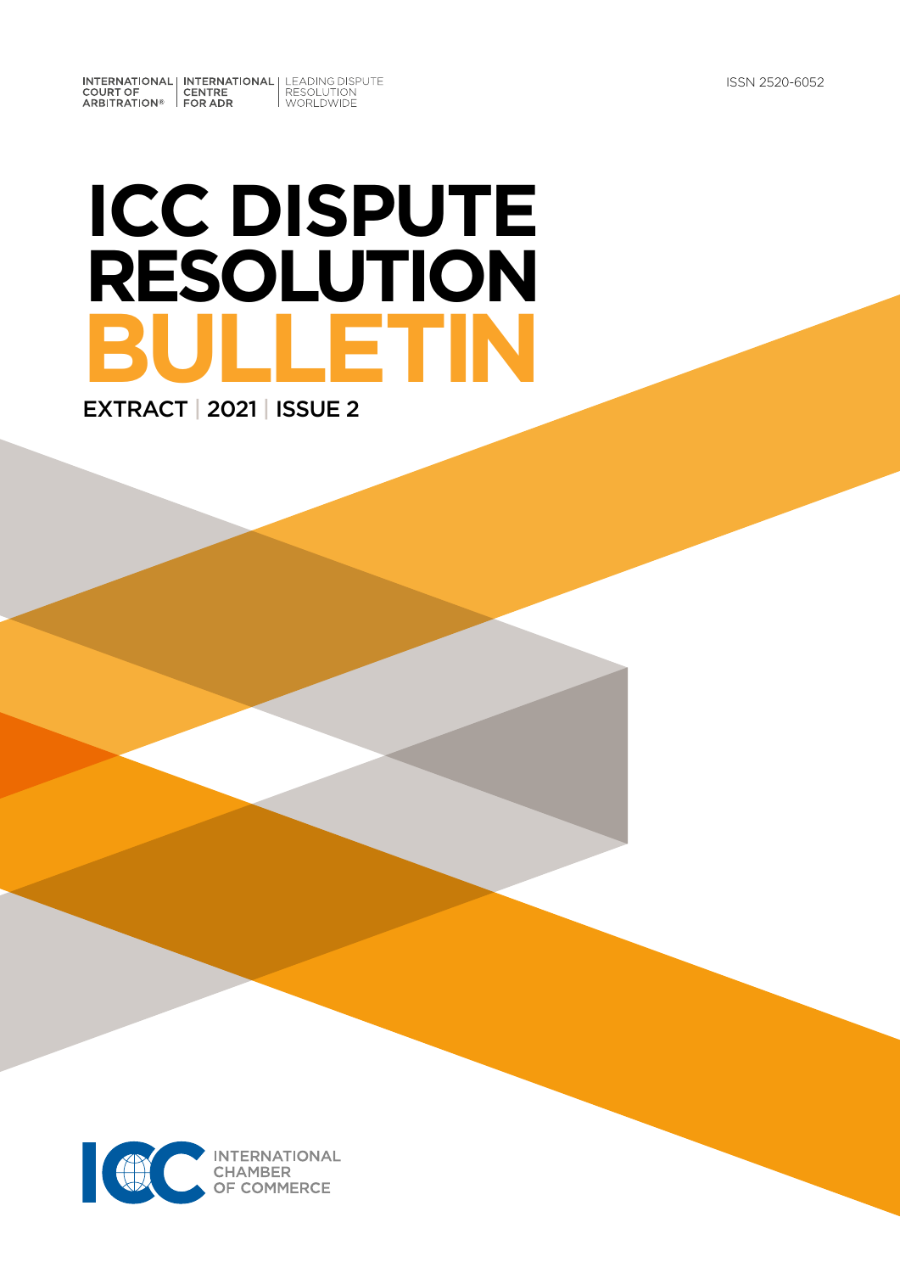INTERNATIONAL INTERNATIONAL LEADING DISPUTE<br>
COURT OF CENTRE RESOLUTION<br>
ARBITRATION® FOR ADR

# **ICC DISPUTE RESOLUTION BULLETIN** EXTRACT | 2021 | ISSUE 2

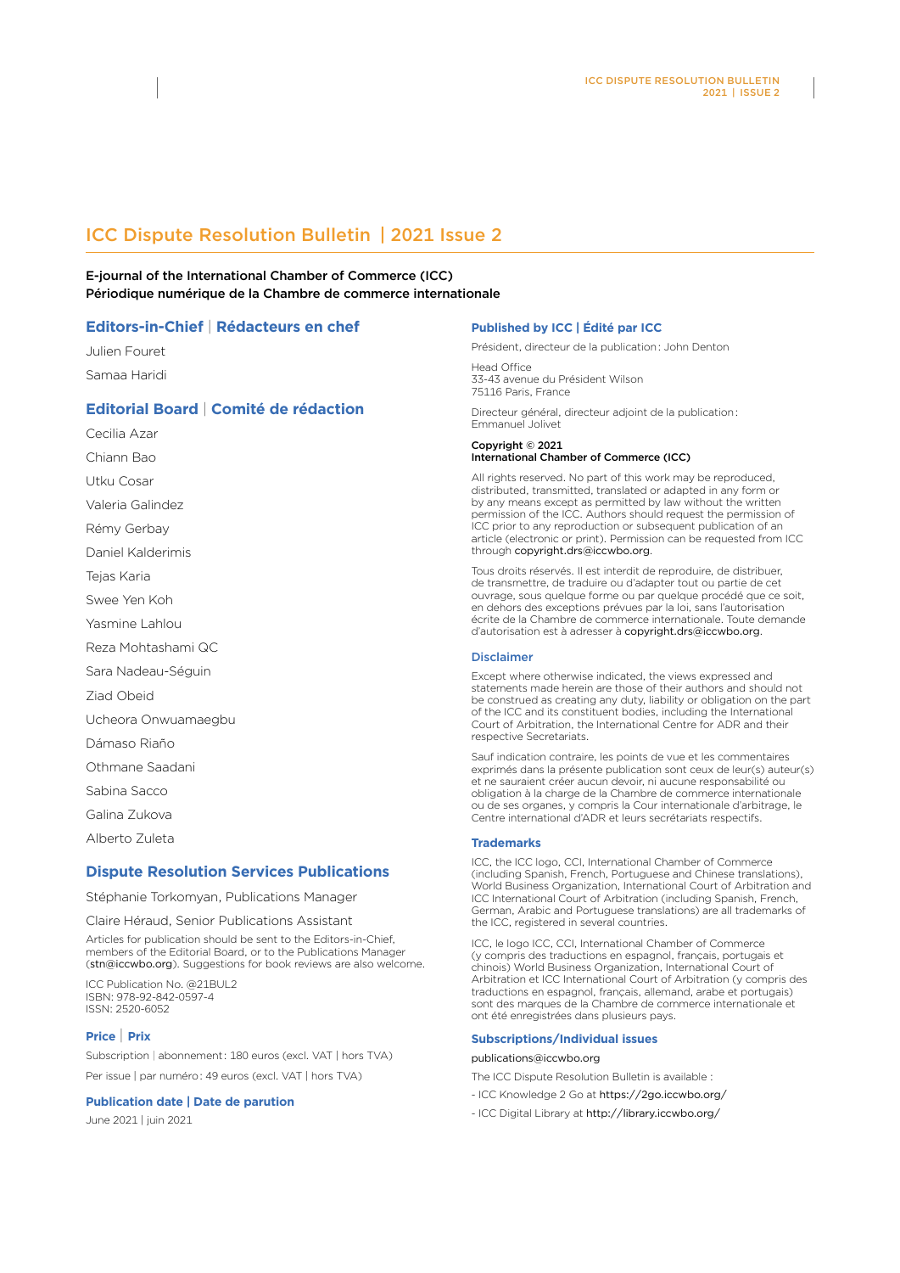# ICC Dispute Resolution Bulletin | 2021 Issue 2

E-journal of the International Chamber of Commerce (ICC) Périodique numérique de la Chambre de commerce internationale

#### **Editors-in-Chief** | **Rédacteurs en chef**

Julien Fouret Samaa Haridi

#### **Editorial Board** | **Comité de rédaction**

Cecilia Azar

Chiann Bao

Utku Cosar

Valeria Galindez

Rémy Gerbay

Daniel Kalderimis

Tejas Karia

Swee Yen Koh

Yasmine Lahlou

Reza Mohtashami QC

Sara Nadeau-Séguin

Ziad Obeid

Ucheora Onwuamaegbu

Dámaso Riaño

Othmane Saadani

Sabina Sacco

Galina Zukova

Alberto Zuleta

#### **Dispute Resolution Services Publications**

Stéphanie Torkomyan, Publications Manager

Claire Héraud, Senior Publications Assistant

Articles for publication should be sent to the Editors-in-Chief, members of the Editorial Board, or to the Publications Manager (stn@iccwbo.org). Suggestions for book reviews are also welcome.

ICC Publication No. @21BUL2 ISBN: 978-92-842-0597-4 ISSN: 2520-6052

#### **Price** | **Prix**

Subscription | abonnement : 180 euros (excl. VAT | hors TVA) Per issue | par numéro : 49 euros (excl. VAT | hors TVA)

#### **Publication date | Date de parution**

June 2021 | juin 2021

#### **Published by ICC | Édité par ICC**

Président, directeur de la publication : John Denton

Head Office 33-43 avenue du Président Wilson 75116 Paris, France

Directeur général, directeur adjoint de la publication : Emmanuel Jolivet

Copyright © 2021

#### International Chamber of Commerce (ICC)

All rights reserved. No part of this work may be reproduced, distributed, transmitted, translated or adapted in any form or by any means except as permitted by law without the written permission of the ICC. Authors should request the permission of ICC prior to any reproduction or subsequent publication of an article (electronic or print). Permission can be requested from ICC through copyright.drs@iccwbo.org.

Tous droits réservés. Il est interdit de reproduire, de distribuer, de transmettre, de traduire ou d'adapter tout ou partie de cet ouvrage, sous quelque forme ou par quelque procédé que ce soit, en dehors des exceptions prévues par la loi, sans l'autorisation écrite de la Chambre de commerce internationale. Toute demande d'autorisation est à adresser à copyright.drs@iccwbo.org.

#### Disclaimer

Except where otherwise indicated, the views expressed and statements made herein are those of their authors and should not be construed as creating any duty, liability or obligation on the part of the ICC and its constituent bodies, including the International Court of Arbitration, the International Centre for ADR and their respective Secretariats.

Sauf indication contraire, les points de vue et les commentaires exprimés dans la présente publication sont ceux de leur(s) auteur(s) et ne sauraient créer aucun devoir, ni aucune responsabilité ou obligation à la charge de la Chambre de commerce internationale ou de ses organes, y compris la Cour internationale d'arbitrage, le Centre international d'ADR et leurs secrétariats respectifs.

#### **Trademarks**

ICC, the ICC logo, CCI, International Chamber of Commerce (including Spanish, French, Portuguese and Chinese translations), World Business Organization, International Court of Arbitration and ICC International Court of Arbitration (including Spanish, French, German, Arabic and Portuguese translations) are all trademarks of the ICC, registered in several countries.

ICC, le logo ICC, CCI, International Chamber of Commerce (y compris des traductions en espagnol, français, portugais et chinois) World Business Organization, International Court of Arbitration et ICC International Court of Arbitration (y compris des traductions en espagnol, français, allemand, arabe et portugais) sont des marques de la Chambre de commerce internationale et ont été enregistrées dans plusieurs pays.

#### **Subscriptions/Individual issues**

#### publications@iccwbo.org

The ICC Dispute Resolution Bulletin is available :

- ICC Knowledge 2 Go at <https://2go.iccwbo.org/>
- ICC Digital Library at http://library.iccwbo.org/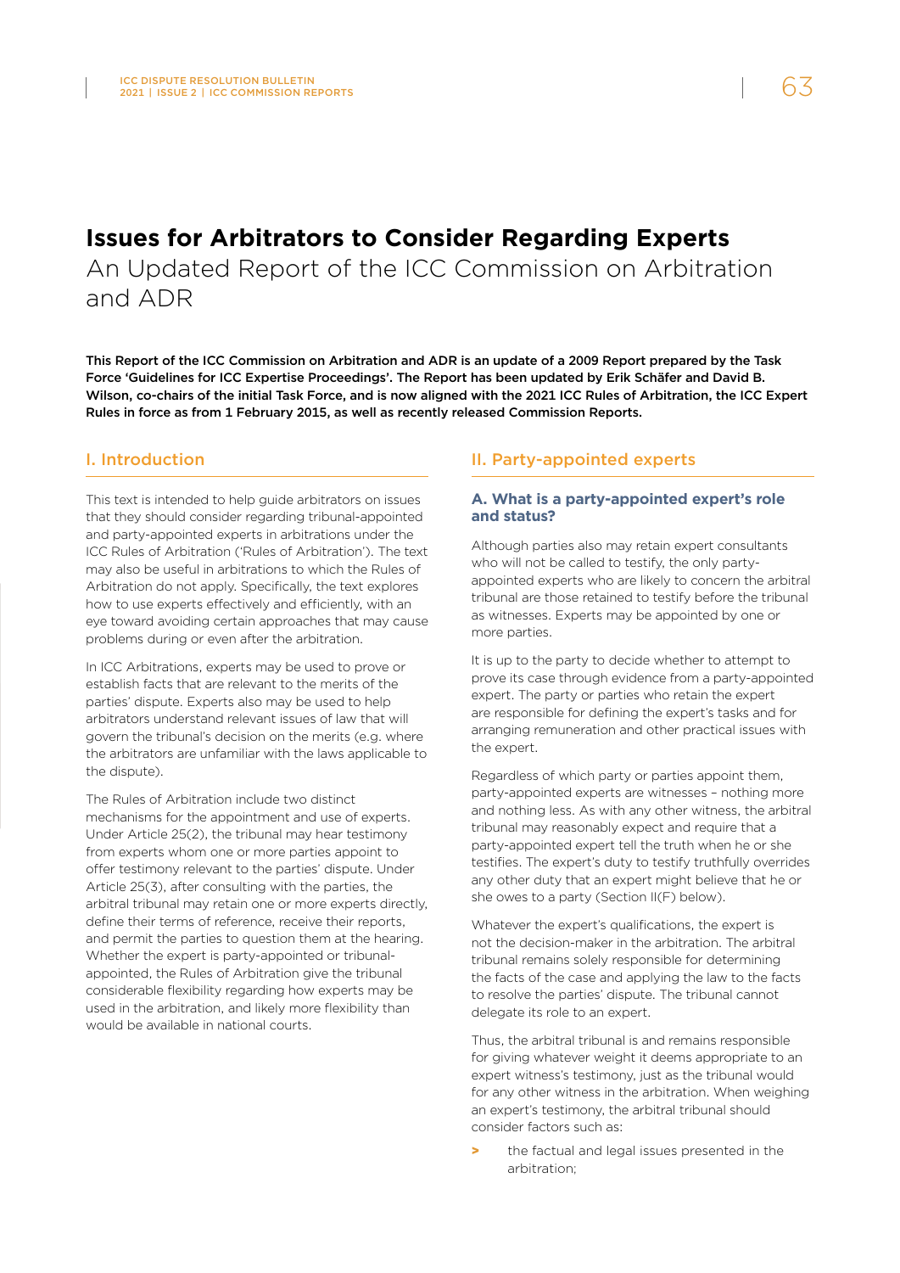# **Issues for Arbitrators to Consider Regarding Experts**

An Updated Report of the ICC Commission on Arbitration and ADR

This Report of the ICC Commission on Arbitration and ADR is an update of a 2009 Report prepared by the Task Force 'Guidelines for ICC Expertise Proceedings'. The Report has been updated by Erik Schäfer and David B. Wilson, co-chairs of the initial Task Force, and is now aligned with the 2021 ICC Rules of Arbitration, the ICC Expert Rules in force as from 1 February 2015, as well as recently released Commission Reports.

#### I. Introduction

This text is intended to help guide arbitrators on issues that they should consider regarding tribunal-appointed and party-appointed experts in arbitrations under the ICC Rules of Arbitration ('Rules of Arbitration'). The text may also be useful in arbitrations to which the Rules of Arbitration do not apply. Specifically, the text explores how to use experts effectively and efficiently, with an eye toward avoiding certain approaches that may cause problems during or even after the arbitration.

In ICC Arbitrations, experts may be used to prove or establish facts that are relevant to the merits of the parties' dispute. Experts also may be used to help arbitrators understand relevant issues of law that will govern the tribunal's decision on the merits (e.g. where the arbitrators are unfamiliar with the laws applicable to the dispute).

The Rules of Arbitration include two distinct mechanisms for the appointment and use of experts. Under Article 25(2), the tribunal may hear testimony from experts whom one or more parties appoint to offer testimony relevant to the parties' dispute. Under Article 25(3), after consulting with the parties, the arbitral tribunal may retain one or more experts directly, define their terms of reference, receive their reports, and permit the parties to question them at the hearing. Whether the expert is party-appointed or tribunalappointed, the Rules of Arbitration give the tribunal considerable flexibility regarding how experts may be used in the arbitration, and likely more flexibility than would be available in national courts.

#### II. Party-appointed experts

#### **A. What is a party-appointed expert's role and status?**

Although parties also may retain expert consultants who will not be called to testify, the only partyappointed experts who are likely to concern the arbitral tribunal are those retained to testify before the tribunal as witnesses. Experts may be appointed by one or more parties.

It is up to the party to decide whether to attempt to prove its case through evidence from a party-appointed expert. The party or parties who retain the expert are responsible for defining the expert's tasks and for arranging remuneration and other practical issues with the expert.

Regardless of which party or parties appoint them, party-appointed experts are witnesses – nothing more and nothing less. As with any other witness, the arbitral tribunal may reasonably expect and require that a party-appointed expert tell the truth when he or she testifies. The expert's duty to testify truthfully overrides any other duty that an expert might believe that he or she owes to a party (Section II(F) below).

Whatever the expert's qualifications, the expert is not the decision-maker in the arbitration. The arbitral tribunal remains solely responsible for determining the facts of the case and applying the law to the facts to resolve the parties' dispute. The tribunal cannot delegate its role to an expert.

Thus, the arbitral tribunal is and remains responsible for giving whatever weight it deems appropriate to an expert witness's testimony, just as the tribunal would for any other witness in the arbitration. When weighing an expert's testimony, the arbitral tribunal should consider factors such as:

the factual and legal issues presented in the arbitration;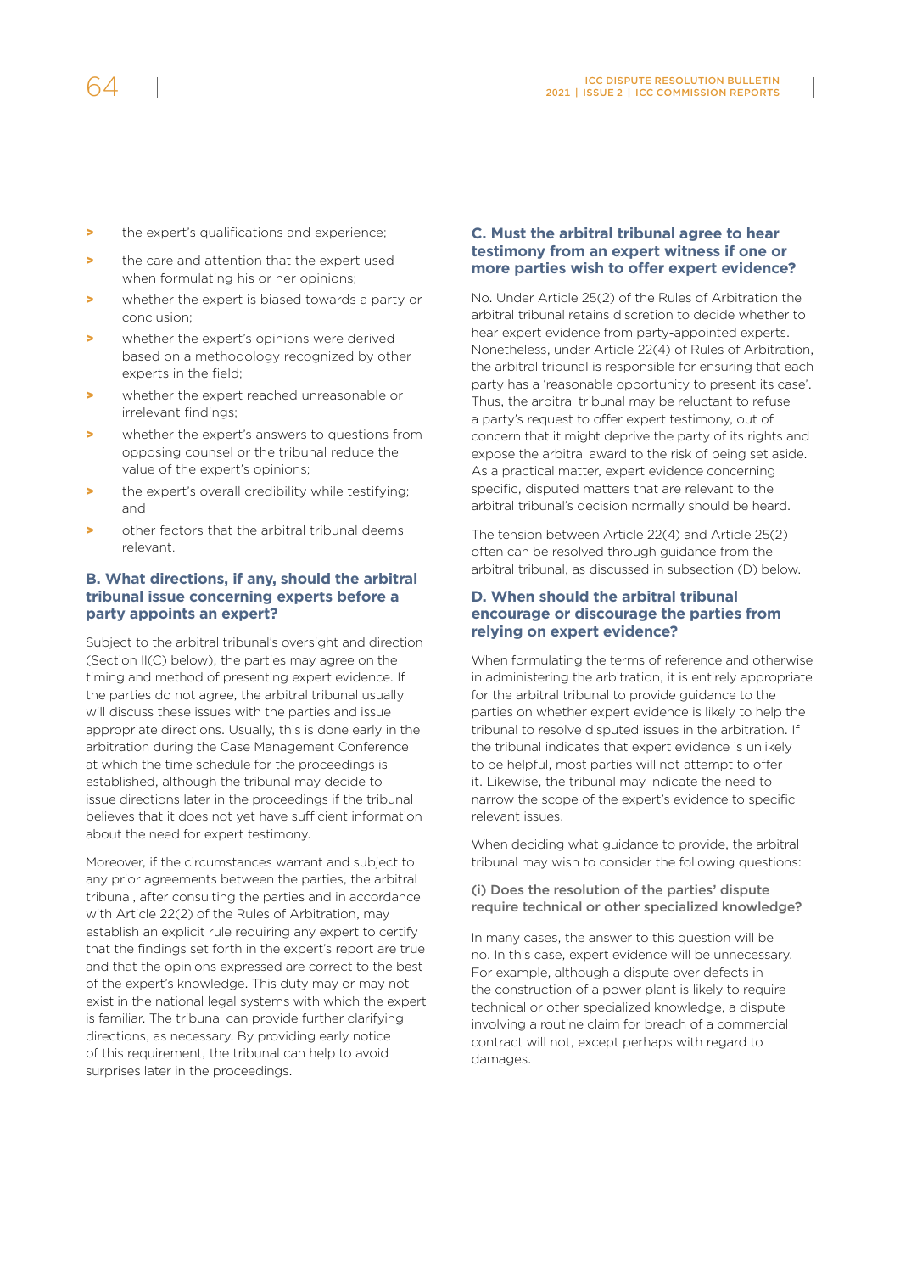- > the expert's qualifications and experience:
- > the care and attention that the expert used when formulating his or her opinions;
- > whether the expert is biased towards a party or conclusion;
- > whether the expert's opinions were derived based on a methodology recognized by other experts in the field;
- whether the expert reached unreasonable or irrelevant findings;
- > whether the expert's answers to questions from opposing counsel or the tribunal reduce the value of the expert's opinions;
- > the expert's overall credibility while testifying; and
- > other factors that the arbitral tribunal deems relevant.

#### **B. What directions, if any, should the arbitral tribunal issue concerning experts before a party appoints an expert?**

Subject to the arbitral tribunal's oversight and direction (Section II(C) below), the parties may agree on the timing and method of presenting expert evidence. If the parties do not agree, the arbitral tribunal usually will discuss these issues with the parties and issue appropriate directions. Usually, this is done early in the arbitration during the Case Management Conference at which the time schedule for the proceedings is established, although the tribunal may decide to issue directions later in the proceedings if the tribunal believes that it does not yet have sufficient information about the need for expert testimony.

Moreover, if the circumstances warrant and subject to any prior agreements between the parties, the arbitral tribunal, after consulting the parties and in accordance with Article 22(2) of the Rules of Arbitration, may establish an explicit rule requiring any expert to certify that the findings set forth in the expert's report are true and that the opinions expressed are correct to the best of the expert's knowledge. This duty may or may not exist in the national legal systems with which the expert is familiar. The tribunal can provide further clarifying directions, as necessary. By providing early notice of this requirement, the tribunal can help to avoid surprises later in the proceedings.

#### **C. Must the arbitral tribunal agree to hear testimony from an expert witness if one or more parties wish to offer expert evidence?**

No. Under Article 25(2) of the Rules of Arbitration the arbitral tribunal retains discretion to decide whether to hear expert evidence from party-appointed experts. Nonetheless, under Article 22(4) of Rules of Arbitration, the arbitral tribunal is responsible for ensuring that each party has a 'reasonable opportunity to present its case'. Thus, the arbitral tribunal may be reluctant to refuse a party's request to offer expert testimony, out of concern that it might deprive the party of its rights and expose the arbitral award to the risk of being set aside. As a practical matter, expert evidence concerning specific, disputed matters that are relevant to the arbitral tribunal's decision normally should be heard.

The tension between Article 22(4) and Article 25(2) often can be resolved through guidance from the arbitral tribunal, as discussed in subsection (D) below.

#### **D. When should the arbitral tribunal encourage or discourage the parties from relying on expert evidence?**

When formulating the terms of reference and otherwise in administering the arbitration, it is entirely appropriate for the arbitral tribunal to provide guidance to the parties on whether expert evidence is likely to help the tribunal to resolve disputed issues in the arbitration. If the tribunal indicates that expert evidence is unlikely to be helpful, most parties will not attempt to offer it. Likewise, the tribunal may indicate the need to narrow the scope of the expert's evidence to specific relevant issues.

When deciding what guidance to provide, the arbitral tribunal may wish to consider the following questions:

(i) Does the resolution of the parties' dispute require technical or other specialized knowledge?

In many cases, the answer to this question will be no. In this case, expert evidence will be unnecessary. For example, although a dispute over defects in the construction of a power plant is likely to require technical or other specialized knowledge, a dispute involving a routine claim for breach of a commercial contract will not, except perhaps with regard to damages.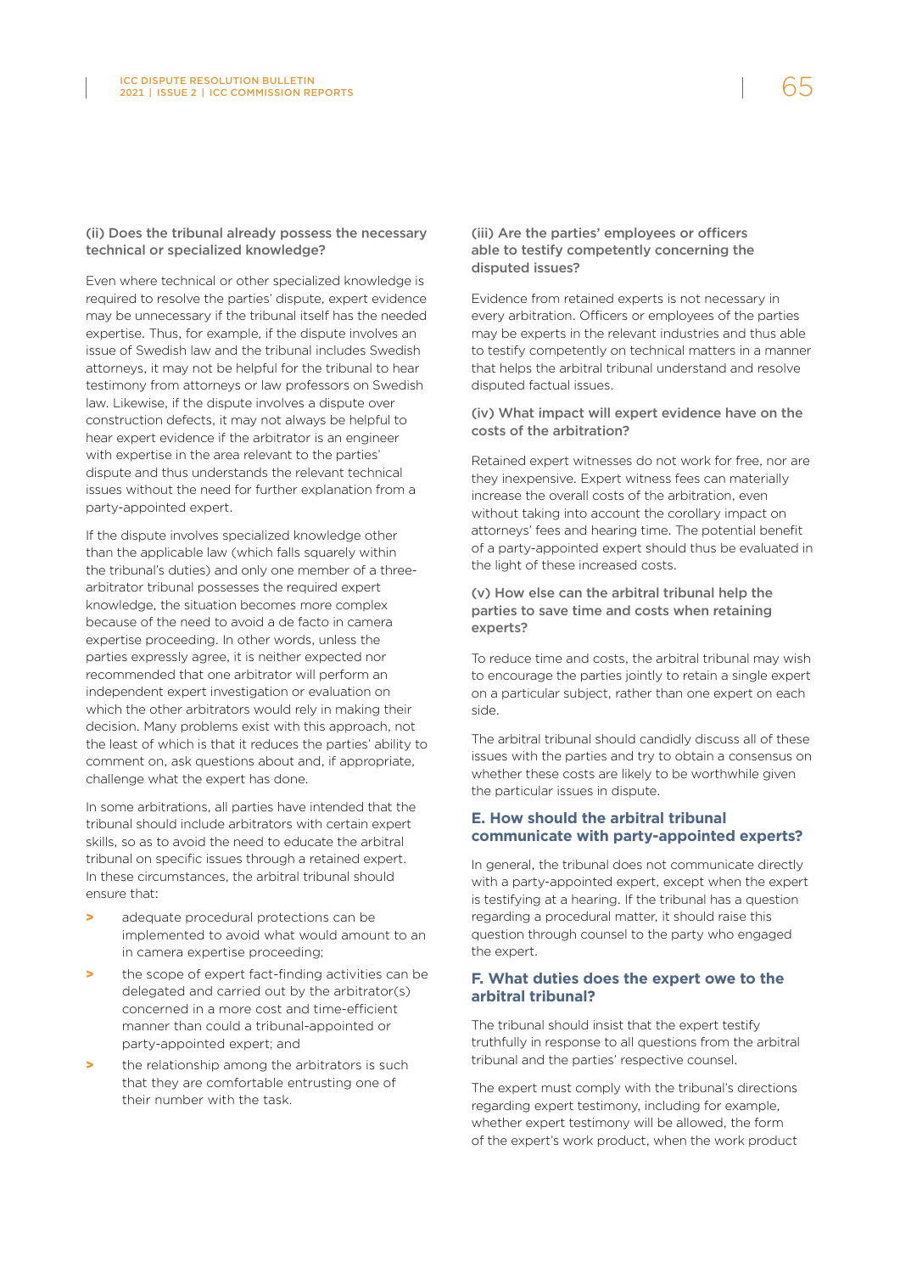#### (ii) Does the tribunal already possess the necessary technical or specialized knowledge?

Even where technical or other specialized knowledge is required to resolve the parties' dispute, expert evidence may be unnecessary if the tribunal itself has the needed expertise. Thus, for example, if the dispute involves an issue of Swedish law and the tribunal includes Swedish attorneys, it may not be helpful for the tribunal to hear testimony from attorneys or law professors on Swedish law. Likewise, if the dispute involves a dispute over construction defects, it may not always be helpful to hear expert evidence if the arbitrator is an engineer with expertise in the area relevant to the parties' dispute and thus understands the relevant technical issues without the need for further explanation from a party-appointed expert.

If the dispute involves specialized knowledge other than the applicable law (which falls squarely within the tribunal's duties) and only one member of a threearbitrator tribunal possesses the required expert knowledge, the situation becomes more complex because of the need to avoid a de facto in camera expertise proceeding. In other words, unless the parties expressly agree, it is neither expected nor recommended that one arbitrator will perform an independent expert investigation or evaluation on which the other arbitrators would rely in making their decision. Many problems exist with this approach, not the least of which is that it reduces the parties' ability to comment on, ask questions about and, if appropriate, challenge what the expert has done.

In some arbitrations, all parties have intended that the tribunal should include arbitrators with certain expert skills, so as to avoid the need to educate the arbitral tribunal on specific issues through a retained expert. In these circumstances, the arbitral tribunal should ensure that:

- adequate procedural protections can be implemented to avoid what would amount to an in camera expertise proceeding;
- the scope of expert fact-finding activities can be delegated and carried out by the arbitrator(s) concerned in a more cost and time-efficient manner than could a tribunal-appointed or party-appointed expert; and
- the relationship among the arbitrators is such that they are comfortable entrusting one of their number with the task.

#### (iii) Are the parties' employees or officers able to testify competently concerning the disputed issues?

Evidence from retained experts is not necessary in every arbitration. Officers or employees of the parties may be experts in the relevant industries and thus able to testify competently on technical matters in a manner that helps the arbitral tribunal understand and resolve disputed factual issues.

#### (iv) What impact will expert evidence have on the costs of the arbitration?

Retained expert witnesses do not work for free, nor are they inexpensive. Expert witness fees can materially increase the overall costs of the arbitration, even without taking into account the corollary impact on attorneys' fees and hearing time. The potential benefit of a party-appointed expert should thus be evaluated in the light of these increased costs.

#### (v) How else can the arbitral tribunal help the parties to save time and costs when retaining experts?

To reduce time and costs, the arbitral tribunal may wish to encourage the parties jointly to retain a single expert on a particular subject, rather than one expert on each side.

The arbitral tribunal should candidly discuss all of these issues with the parties and try to obtain a consensus on whether these costs are likely to be worthwhile given the particular issues in dispute.

#### **E. How should the arbitral tribunal communicate with party-appointed experts?**

In general, the tribunal does not communicate directly with a party-appointed expert, except when the expert is testifying at a hearing. If the tribunal has a question regarding a procedural matter, it should raise this question through counsel to the party who engaged the expert.

#### **F. What duties does the expert owe to the arbitral tribunal?**

The tribunal should insist that the expert testify truthfully in response to all questions from the arbitral tribunal and the parties' respective counsel.

The expert must comply with the tribunal's directions regarding expert testimony, including for example, whether expert testimony will be allowed, the form of the expert's work product, when the work product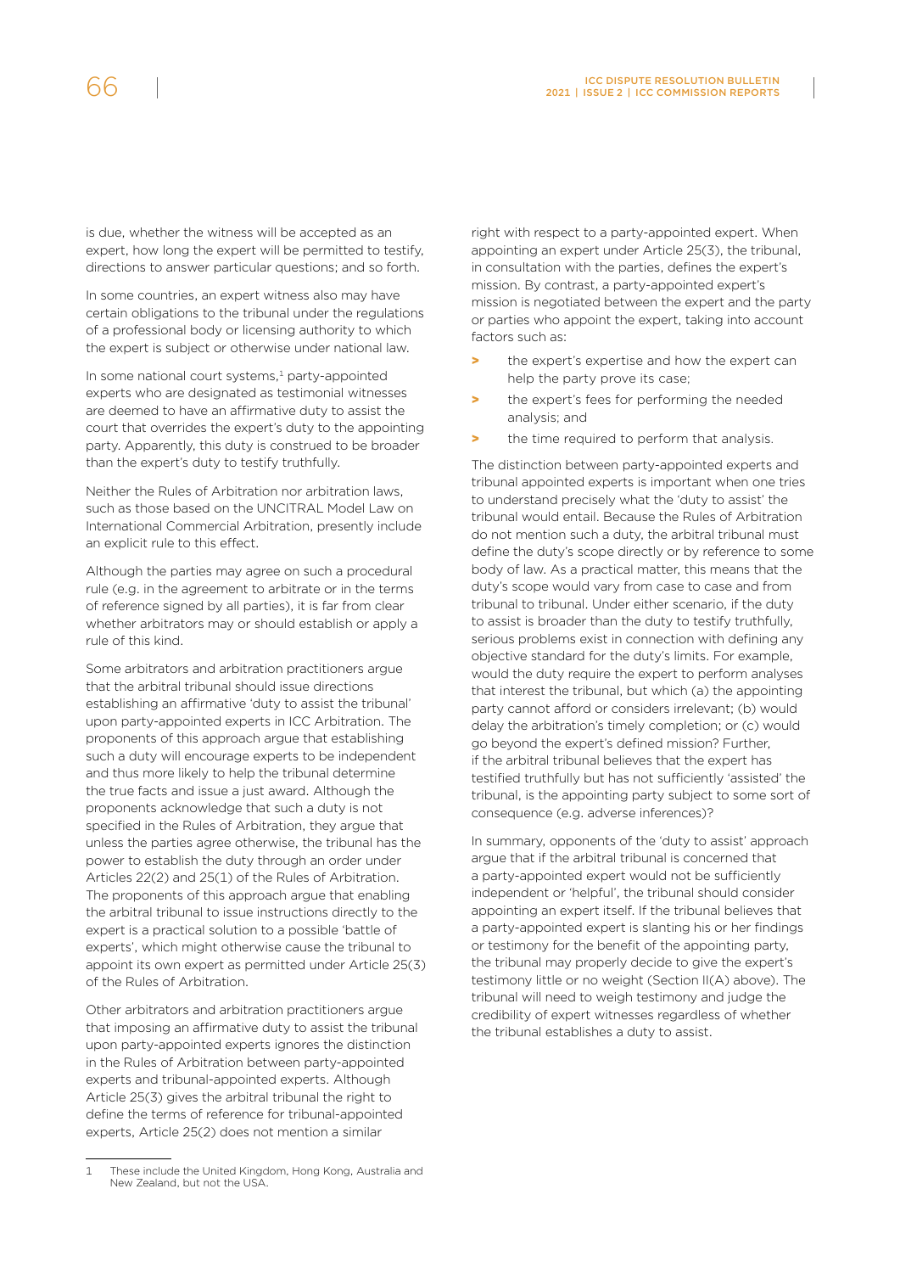is due, whether the witness will be accepted as an expert, how long the expert will be permitted to testify, directions to answer particular questions; and so forth.

In some countries, an expert witness also may have certain obligations to the tribunal under the regulations of a professional body or licensing authority to which the expert is subject or otherwise under national law.

In some national court systems, $1$  party-appointed experts who are designated as testimonial witnesses are deemed to have an affirmative duty to assist the court that overrides the expert's duty to the appointing party. Apparently, this duty is construed to be broader than the expert's duty to testify truthfully.

Neither the Rules of Arbitration nor arbitration laws, such as those based on the UNCITRAL Model Law on International Commercial Arbitration, presently include an explicit rule to this effect.

Although the parties may agree on such a procedural rule (e.g. in the agreement to arbitrate or in the terms of reference signed by all parties), it is far from clear whether arbitrators may or should establish or apply a rule of this kind.

Some arbitrators and arbitration practitioners argue that the arbitral tribunal should issue directions establishing an affirmative 'duty to assist the tribunal' upon party-appointed experts in ICC Arbitration. The proponents of this approach argue that establishing such a duty will encourage experts to be independent and thus more likely to help the tribunal determine the true facts and issue a just award. Although the proponents acknowledge that such a duty is not specified in the Rules of Arbitration, they argue that unless the parties agree otherwise, the tribunal has the power to establish the duty through an order under Articles 22(2) and 25(1) of the Rules of Arbitration. The proponents of this approach argue that enabling the arbitral tribunal to issue instructions directly to the expert is a practical solution to a possible 'battle of experts', which might otherwise cause the tribunal to appoint its own expert as permitted under Article 25(3) of the Rules of Arbitration.

Other arbitrators and arbitration practitioners argue that imposing an affirmative duty to assist the tribunal upon party-appointed experts ignores the distinction in the Rules of Arbitration between party-appointed experts and tribunal-appointed experts. Although Article 25(3) gives the arbitral tribunal the right to define the terms of reference for tribunal-appointed experts, Article 25(2) does not mention a similar

right with respect to a party-appointed expert. When appointing an expert under Article 25(3), the tribunal, in consultation with the parties, defines the expert's mission. By contrast, a party-appointed expert's mission is negotiated between the expert and the party or parties who appoint the expert, taking into account factors such as:

- the expert's expertise and how the expert can help the party prove its case;
- the expert's fees for performing the needed analysis; and
- the time required to perform that analysis.

The distinction between party-appointed experts and tribunal appointed experts is important when one tries to understand precisely what the 'duty to assist' the tribunal would entail. Because the Rules of Arbitration do not mention such a duty, the arbitral tribunal must define the duty's scope directly or by reference to some body of law. As a practical matter, this means that the duty's scope would vary from case to case and from tribunal to tribunal. Under either scenario, if the duty to assist is broader than the duty to testify truthfully, serious problems exist in connection with defining any objective standard for the duty's limits. For example, would the duty require the expert to perform analyses that interest the tribunal, but which (a) the appointing party cannot afford or considers irrelevant; (b) would delay the arbitration's timely completion; or (c) would go beyond the expert's defined mission? Further, if the arbitral tribunal believes that the expert has testified truthfully but has not sufficiently 'assisted' the tribunal, is the appointing party subject to some sort of consequence (e.g. adverse inferences)?

In summary, opponents of the 'duty to assist' approach argue that if the arbitral tribunal is concerned that a party-appointed expert would not be sufficiently independent or 'helpful', the tribunal should consider appointing an expert itself. If the tribunal believes that a party-appointed expert is slanting his or her findings or testimony for the benefit of the appointing party, the tribunal may properly decide to give the expert's testimony little or no weight (Section II(A) above). The tribunal will need to weigh testimony and judge the credibility of expert witnesses regardless of whether the tribunal establishes a duty to assist.

These include the United Kingdom, Hong Kong, Australia and New Zealand, but not the USA.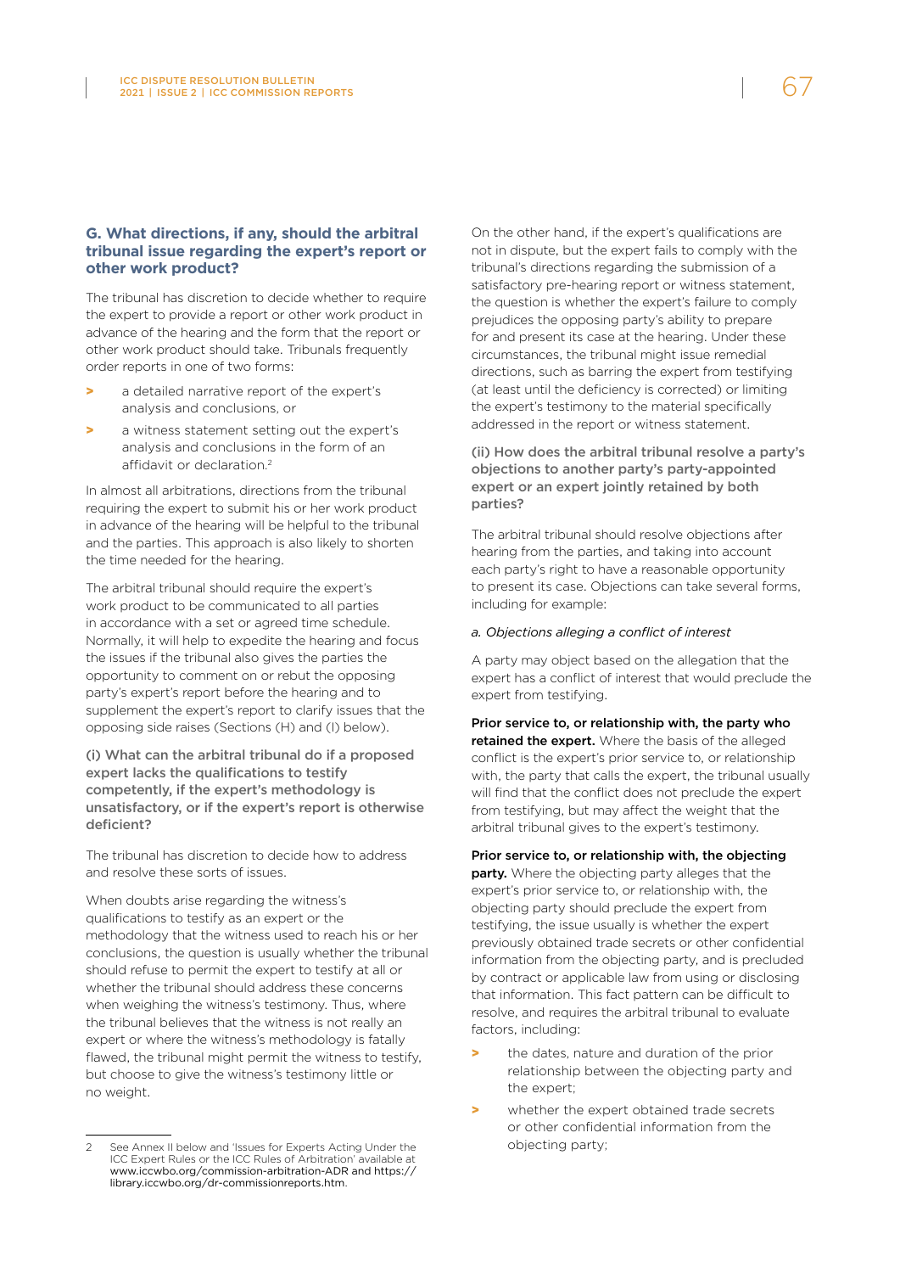#### **G. What directions, if any, should the arbitral tribunal issue regarding the expert's report or other work product?**

The tribunal has discretion to decide whether to require the expert to provide a report or other work product in advance of the hearing and the form that the report or other work product should take. Tribunals frequently order reports in one of two forms:

- a detailed narrative report of the expert's analysis and conclusions, or
- a witness statement setting out the expert's analysis and conclusions in the form of an affidavit or declaration. 2

In almost all arbitrations, directions from the tribunal requiring the expert to submit his or her work product in advance of the hearing will be helpful to the tribunal and the parties. This approach is also likely to shorten the time needed for the hearing.

The arbitral tribunal should require the expert's work product to be communicated to all parties in accordance with a set or agreed time schedule. Normally, it will help to expedite the hearing and focus the issues if the tribunal also gives the parties the opportunity to comment on or rebut the opposing party's expert's report before the hearing and to supplement the expert's report to clarify issues that the opposing side raises (Sections (H) and (I) below).

(i) What can the arbitral tribunal do if a proposed expert lacks the qualifications to testify competently, if the expert's methodology is unsatisfactory, or if the expert's report is otherwise deficient?

The tribunal has discretion to decide how to address and resolve these sorts of issues.

When doubts arise regarding the witness's qualifications to testify as an expert or the methodology that the witness used to reach his or her conclusions, the question is usually whether the tribunal should refuse to permit the expert to testify at all or whether the tribunal should address these concerns when weighing the witness's testimony. Thus, where the tribunal believes that the witness is not really an expert or where the witness's methodology is fatally flawed, the tribunal might permit the witness to testify, but choose to give the witness's testimony little or no weight.

On the other hand, if the expert's qualifications are not in dispute, but the expert fails to comply with the tribunal's directions regarding the submission of a satisfactory pre-hearing report or witness statement, the question is whether the expert's failure to comply prejudices the opposing party's ability to prepare for and present its case at the hearing. Under these circumstances, the tribunal might issue remedial directions, such as barring the expert from testifying (at least until the deficiency is corrected) or limiting the expert's testimony to the material specifically addressed in the report or witness statement.

(ii) How does the arbitral tribunal resolve a party's objections to another party's party-appointed expert or an expert jointly retained by both parties?

The arbitral tribunal should resolve objections after hearing from the parties, and taking into account each party's right to have a reasonable opportunity to present its case. Objections can take several forms, including for example:

#### *a. Objections alleging a conflict of interest*

A party may object based on the allegation that the expert has a conflict of interest that would preclude the expert from testifying.

Prior service to, or relationship with, the party who retained the expert. Where the basis of the alleged conflict is the expert's prior service to, or relationship with, the party that calls the expert, the tribunal usually will find that the conflict does not preclude the expert from testifying, but may affect the weight that the arbitral tribunal gives to the expert's testimony.

Prior service to, or relationship with, the objecting **party.** Where the objecting party alleges that the expert's prior service to, or relationship with, the objecting party should preclude the expert from testifying, the issue usually is whether the expert previously obtained trade secrets or other confidential information from the objecting party, and is precluded by contract or applicable law from using or disclosing that information. This fact pattern can be difficult to resolve, and requires the arbitral tribunal to evaluate factors, including:

- the dates, nature and duration of the prior relationship between the objecting party and the expert;
- > whether the expert obtained trade secrets or other confidential information from the objecting party;

See Annex II below and 'Issues for Experts Acting Under the ICC Expert Rules or the ICC Rules of Arbitration' available at [www.iccwbo.org/commission-arbitration-ADR](http://www.iccwbo.org/commission-arbitration-ADR) and [https://](https://library.iccwbo.org/dr-commissionreports.htm) [library.iccwbo.org/dr-commissionreports.htm](https://library.iccwbo.org/dr-commissionreports.htm).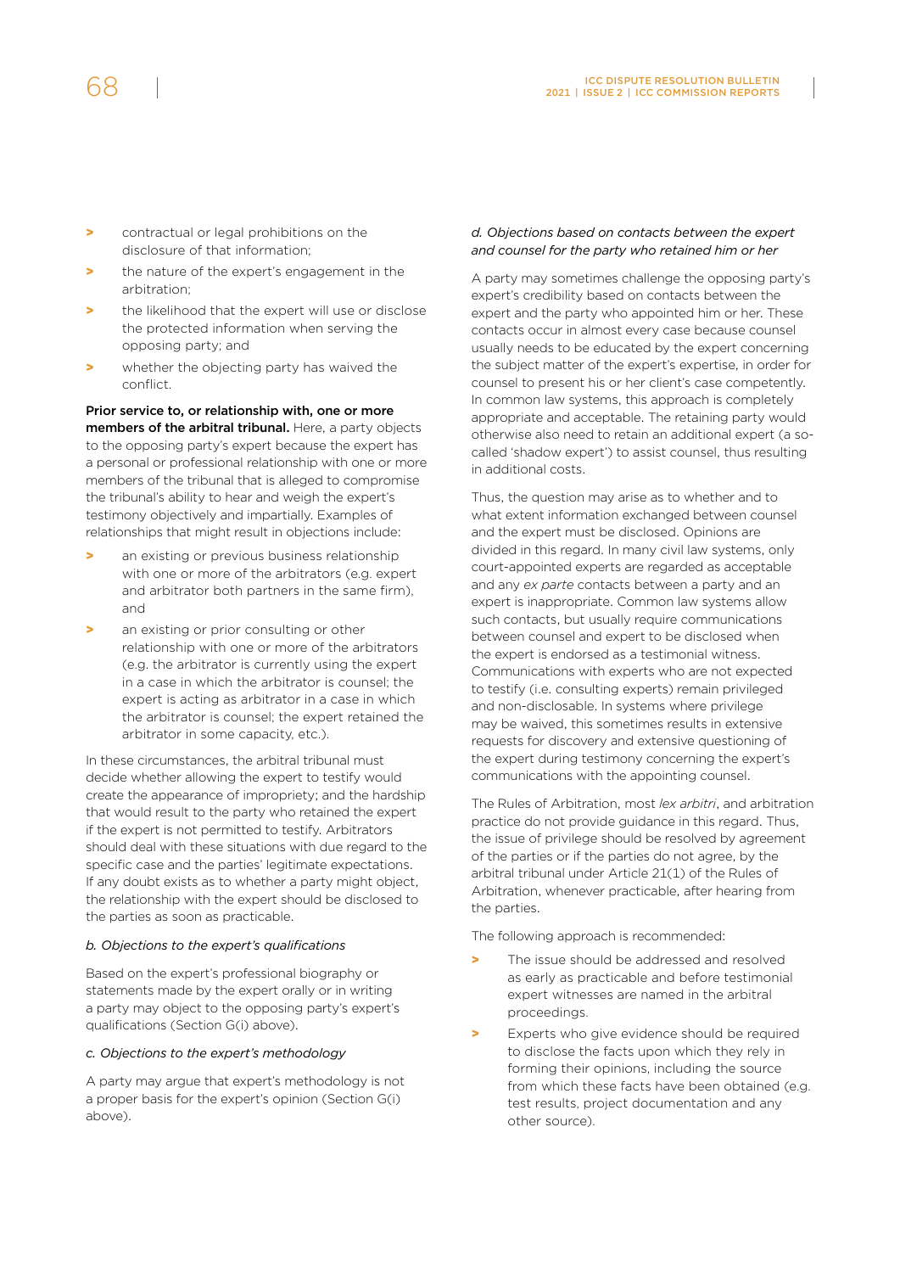- > contractual or legal prohibitions on the disclosure of that information;
- > the nature of the expert's engagement in the arbitration;
- the likelihood that the expert will use or disclose the protected information when serving the opposing party; and
- > whether the objecting party has waived the conflict.

Prior service to, or relationship with, one or more members of the arbitral tribunal. Here, a party objects to the opposing party's expert because the expert has a personal or professional relationship with one or more members of the tribunal that is alleged to compromise the tribunal's ability to hear and weigh the expert's testimony objectively and impartially. Examples of relationships that might result in objections include:

- an existing or previous business relationship with one or more of the arbitrators (e.g. expert and arbitrator both partners in the same firm), and
- **>** an existing or prior consulting or other relationship with one or more of the arbitrators (e.g. the arbitrator is currently using the expert in a case in which the arbitrator is counsel; the expert is acting as arbitrator in a case in which the arbitrator is counsel; the expert retained the arbitrator in some capacity, etc.).

In these circumstances, the arbitral tribunal must decide whether allowing the expert to testify would create the appearance of impropriety; and the hardship that would result to the party who retained the expert if the expert is not permitted to testify. Arbitrators should deal with these situations with due regard to the specific case and the parties' legitimate expectations. If any doubt exists as to whether a party might object, the relationship with the expert should be disclosed to the parties as soon as practicable.

#### *b. Objections to the expert's qualifications*

Based on the expert's professional biography or statements made by the expert orally or in writing a party may object to the opposing party's expert's qualifications (Section G(i) above).

#### *c. Objections to the expert's methodology*

A party may argue that expert's methodology is not a proper basis for the expert's opinion (Section G(i) above).

#### *d. Objections based on contacts between the expert and counsel for the party who retained him or her*

A party may sometimes challenge the opposing party's expert's credibility based on contacts between the expert and the party who appointed him or her. These contacts occur in almost every case because counsel usually needs to be educated by the expert concerning the subject matter of the expert's expertise, in order for counsel to present his or her client's case competently. In common law systems, this approach is completely appropriate and acceptable. The retaining party would otherwise also need to retain an additional expert (a socalled 'shadow expert') to assist counsel, thus resulting in additional costs.

Thus, the question may arise as to whether and to what extent information exchanged between counsel and the expert must be disclosed. Opinions are divided in this regard. In many civil law systems, only court-appointed experts are regarded as acceptable and any *ex parte* contacts between a party and an expert is inappropriate. Common law systems allow such contacts, but usually require communications between counsel and expert to be disclosed when the expert is endorsed as a testimonial witness. Communications with experts who are not expected to testify (i.e. consulting experts) remain privileged and non-disclosable. In systems where privilege may be waived, this sometimes results in extensive requests for discovery and extensive questioning of the expert during testimony concerning the expert's communications with the appointing counsel.

The Rules of Arbitration, most *lex arbitri*, and arbitration practice do not provide guidance in this regard. Thus, the issue of privilege should be resolved by agreement of the parties or if the parties do not agree, by the arbitral tribunal under Article 21(1) of the Rules of Arbitration, whenever practicable, after hearing from the parties.

The following approach is recommended:

- The issue should be addressed and resolved as early as practicable and before testimonial expert witnesses are named in the arbitral proceedings.
- Experts who give evidence should be required to disclose the facts upon which they rely in forming their opinions, including the source from which these facts have been obtained (e.g. test results, project documentation and any other source).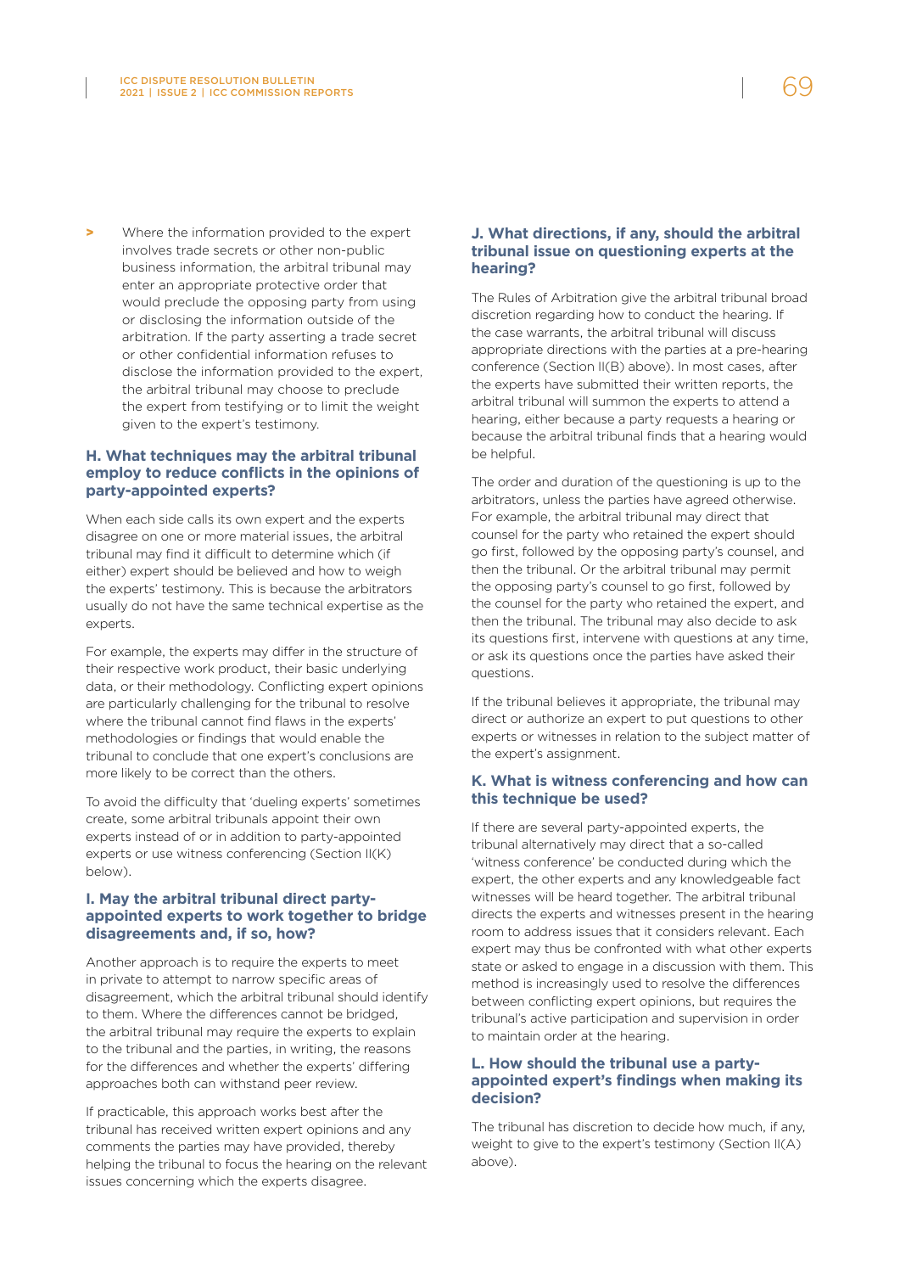> Where the information provided to the expert involves trade secrets or other non-public business information, the arbitral tribunal may enter an appropriate protective order that would preclude the opposing party from using or disclosing the information outside of the arbitration. If the party asserting a trade secret or other confidential information refuses to disclose the information provided to the expert, the arbitral tribunal may choose to preclude the expert from testifying or to limit the weight given to the expert's testimony.

#### **H. What techniques may the arbitral tribunal employ to reduce conflicts in the opinions of party-appointed experts?**

When each side calls its own expert and the experts disagree on one or more material issues, the arbitral tribunal may find it difficult to determine which (if either) expert should be believed and how to weigh the experts' testimony. This is because the arbitrators usually do not have the same technical expertise as the experts.

For example, the experts may differ in the structure of their respective work product, their basic underlying data, or their methodology. Conflicting expert opinions are particularly challenging for the tribunal to resolve where the tribunal cannot find flaws in the experts' methodologies or findings that would enable the tribunal to conclude that one expert's conclusions are more likely to be correct than the others.

To avoid the difficulty that 'dueling experts' sometimes create, some arbitral tribunals appoint their own experts instead of or in addition to party-appointed experts or use witness conferencing (Section II(K) below).

#### **I. May the arbitral tribunal direct partyappointed experts to work together to bridge disagreements and, if so, how?**

Another approach is to require the experts to meet in private to attempt to narrow specific areas of disagreement, which the arbitral tribunal should identify to them. Where the differences cannot be bridged, the arbitral tribunal may require the experts to explain to the tribunal and the parties, in writing, the reasons for the differences and whether the experts' differing approaches both can withstand peer review.

If practicable, this approach works best after the tribunal has received written expert opinions and any comments the parties may have provided, thereby helping the tribunal to focus the hearing on the relevant issues concerning which the experts disagree.

#### **J. What directions, if any, should the arbitral tribunal issue on questioning experts at the hearing?**

The Rules of Arbitration give the arbitral tribunal broad discretion regarding how to conduct the hearing. If the case warrants, the arbitral tribunal will discuss appropriate directions with the parties at a pre-hearing conference (Section II(B) above). In most cases, after the experts have submitted their written reports, the arbitral tribunal will summon the experts to attend a hearing, either because a party requests a hearing or because the arbitral tribunal finds that a hearing would be helpful.

The order and duration of the questioning is up to the arbitrators, unless the parties have agreed otherwise. For example, the arbitral tribunal may direct that counsel for the party who retained the expert should go first, followed by the opposing party's counsel, and then the tribunal. Or the arbitral tribunal may permit the opposing party's counsel to go first, followed by the counsel for the party who retained the expert, and then the tribunal. The tribunal may also decide to ask its questions first, intervene with questions at any time, or ask its questions once the parties have asked their questions.

If the tribunal believes it appropriate, the tribunal may direct or authorize an expert to put questions to other experts or witnesses in relation to the subject matter of the expert's assignment.

#### **K. What is witness conferencing and how can this technique be used?**

If there are several party-appointed experts, the tribunal alternatively may direct that a so-called 'witness conference' be conducted during which the expert, the other experts and any knowledgeable fact witnesses will be heard together. The arbitral tribunal directs the experts and witnesses present in the hearing room to address issues that it considers relevant. Each expert may thus be confronted with what other experts state or asked to engage in a discussion with them. This method is increasingly used to resolve the differences between conflicting expert opinions, but requires the tribunal's active participation and supervision in order to maintain order at the hearing.

#### **L. How should the tribunal use a partyappointed expert's findings when making its decision?**

The tribunal has discretion to decide how much, if any, weight to give to the expert's testimony (Section II(A) above).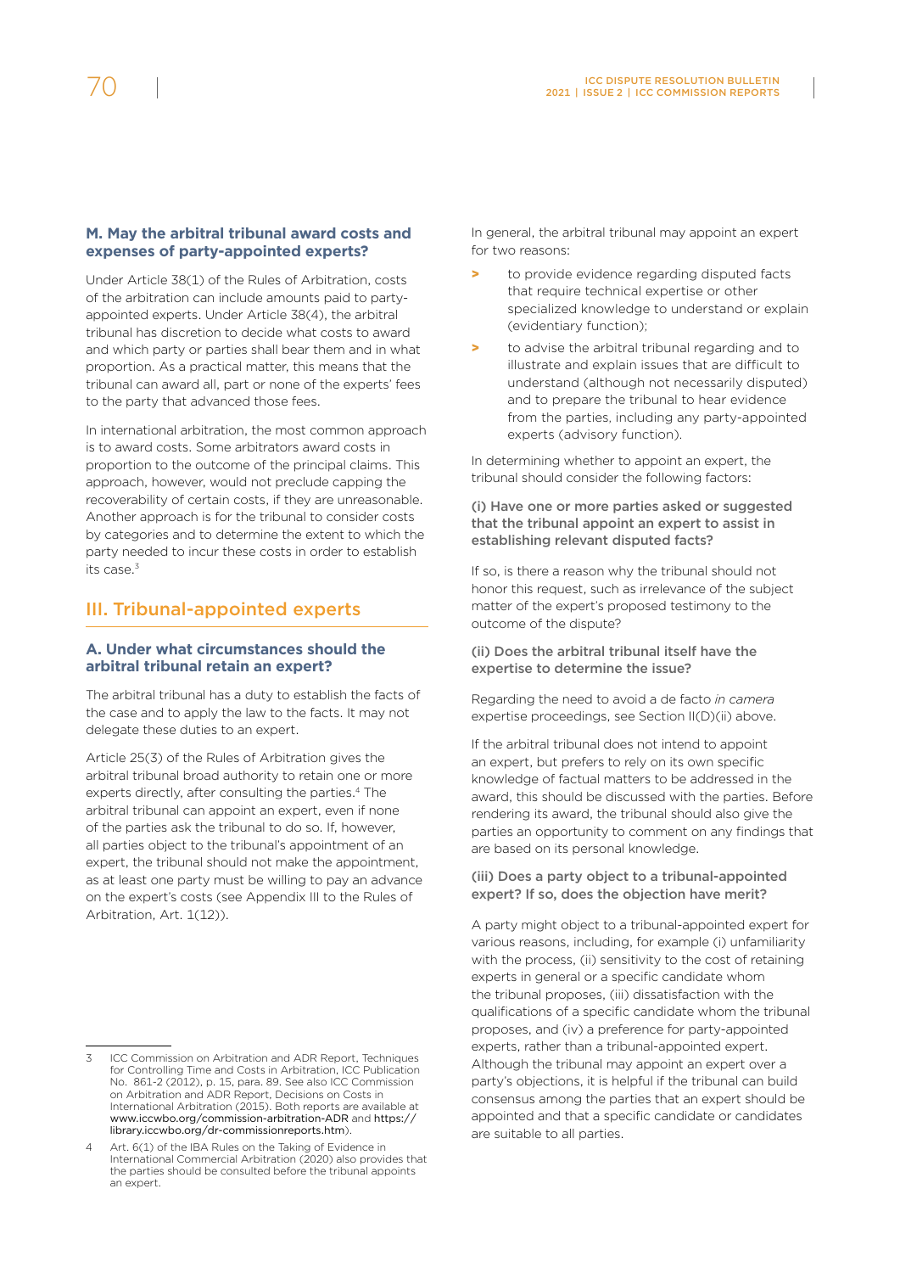#### **M. May the arbitral tribunal award costs and expenses of party-appointed experts?**

Under Article 38(1) of the Rules of Arbitration, costs of the arbitration can include amounts paid to partyappointed experts. Under Article 38(4), the arbitral tribunal has discretion to decide what costs to award and which party or parties shall bear them and in what proportion. As a practical matter, this means that the tribunal can award all, part or none of the experts' fees to the party that advanced those fees.

In international arbitration, the most common approach is to award costs. Some arbitrators award costs in proportion to the outcome of the principal claims. This approach, however, would not preclude capping the recoverability of certain costs, if they are unreasonable. Another approach is for the tribunal to consider costs by categories and to determine the extent to which the party needed to incur these costs in order to establish its case  $3$ 

### III. Tribunal-appointed experts

#### **A. Under what circumstances should the arbitral tribunal retain an expert?**

The arbitral tribunal has a duty to establish the facts of the case and to apply the law to the facts. It may not delegate these duties to an expert.

Article 25(3) of the Rules of Arbitration gives the arbitral tribunal broad authority to retain one or more experts directly, after consulting the parties.<sup>4</sup> The arbitral tribunal can appoint an expert, even if none of the parties ask the tribunal to do so. If, however, all parties object to the tribunal's appointment of an expert, the tribunal should not make the appointment, as at least one party must be willing to pay an advance on the expert's costs (see Appendix III to the Rules of Arbitration, Art. 1(12)).

In general, the arbitral tribunal may appoint an expert for two reasons:

- > to provide evidence regarding disputed facts that require technical expertise or other specialized knowledge to understand or explain (evidentiary function);
- to advise the arbitral tribunal regarding and to illustrate and explain issues that are difficult to understand (although not necessarily disputed) and to prepare the tribunal to hear evidence from the parties, including any party-appointed experts (advisory function).

In determining whether to appoint an expert, the tribunal should consider the following factors:

#### (i) Have one or more parties asked or suggested that the tribunal appoint an expert to assist in establishing relevant disputed facts?

If so, is there a reason why the tribunal should not honor this request, such as irrelevance of the subject matter of the expert's proposed testimony to the outcome of the dispute?

#### (ii) Does the arbitral tribunal itself have the expertise to determine the issue?

Regarding the need to avoid a de facto *in camera* expertise proceedings, see Section II(D)(ii) above.

If the arbitral tribunal does not intend to appoint an expert, but prefers to rely on its own specific knowledge of factual matters to be addressed in the award, this should be discussed with the parties. Before rendering its award, the tribunal should also give the parties an opportunity to comment on any findings that are based on its personal knowledge.

#### (iii) Does a party object to a tribunal-appointed expert? If so, does the objection have merit?

A party might object to a tribunal-appointed expert for various reasons, including, for example (i) unfamiliarity with the process, (ii) sensitivity to the cost of retaining experts in general or a specific candidate whom the tribunal proposes, (iii) dissatisfaction with the qualifications of a specific candidate whom the tribunal proposes, and (iv) a preference for party-appointed experts, rather than a tribunal-appointed expert. Although the tribunal may appoint an expert over a party's objections, it is helpful if the tribunal can build consensus among the parties that an expert should be appointed and that a specific candidate or candidates are suitable to all parties.

<sup>3</sup> ICC Commission on Arbitration and ADR Report, Techniques for Controlling Time and Costs in Arbitration, ICC Publication No. 861-2 (2012), p. 15, para. 89. See also ICC Commission on Arbitration and ADR Report, Decisions on Costs in International Arbitration (2015). Both reports are available at [www.iccwbo.org/commission-arbitration-ADR](http://www.iccwbo.org/commission-arbitration-ADR) and [https://](https://library.iccwbo.org/dr-commissionreports.htm) [library.iccwbo.org/dr-commissionreports.htm](https://library.iccwbo.org/dr-commissionreports.htm)).

<sup>4</sup> Art. 6(1) of the IBA Rules on the Taking of Evidence in International Commercial Arbitration (2020) also provides that the parties should be consulted before the tribunal appoints an expert.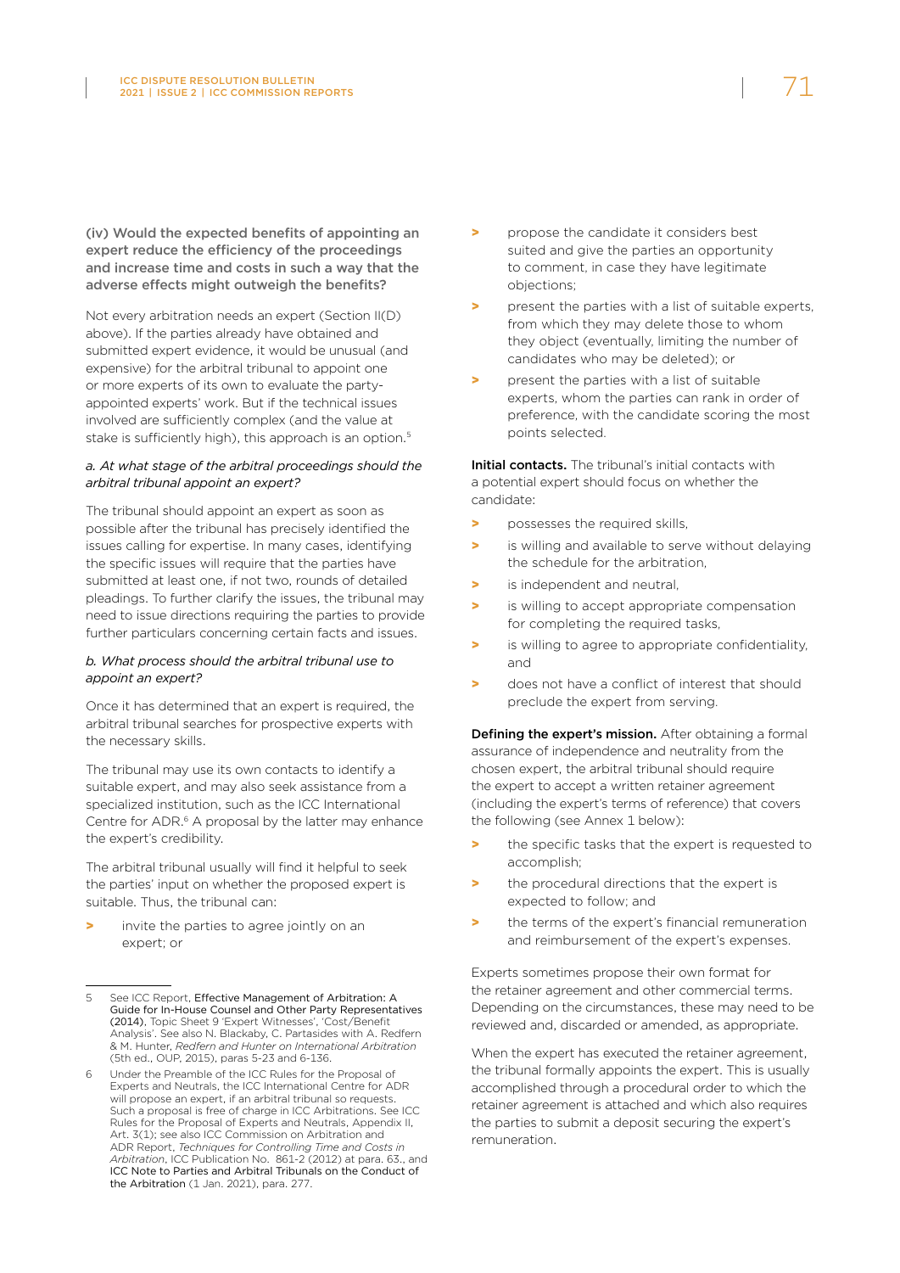(iv) Would the expected benefits of appointing an expert reduce the efficiency of the proceedings and increase time and costs in such a way that the adverse effects might outweigh the benefits?

Not every arbitration needs an expert (Section II(D) above). If the parties already have obtained and submitted expert evidence, it would be unusual (and expensive) for the arbitral tribunal to appoint one or more experts of its own to evaluate the partyappointed experts' work. But if the technical issues involved are sufficiently complex (and the value at stake is sufficiently high), this approach is an option.<sup>5</sup>

#### *a. At what stage of the arbitral proceedings should the arbitral tribunal appoint an expert?*

The tribunal should appoint an expert as soon as possible after the tribunal has precisely identified the issues calling for expertise. In many cases, identifying the specific issues will require that the parties have submitted at least one, if not two, rounds of detailed pleadings. To further clarify the issues, the tribunal may need to issue directions requiring the parties to provide further particulars concerning certain facts and issues.

#### *b. What process should the arbitral tribunal use to appoint an expert?*

Once it has determined that an expert is required, the arbitral tribunal searches for prospective experts with the necessary skills.

The tribunal may use its own contacts to identify a suitable expert, and may also seek assistance from a specialized institution, such as the ICC International Centre for ADR.<sup>6</sup> A proposal by the latter may enhance the expert's credibility.

The arbitral tribunal usually will find it helpful to seek the parties' input on whether the proposed expert is suitable. Thus, the tribunal can:

invite the parties to agree jointly on an expert; or

- > propose the candidate it considers best suited and give the parties an opportunity to comment, in case they have legitimate objections;
- present the parties with a list of suitable experts, from which they may delete those to whom they object (eventually, limiting the number of candidates who may be deleted); or
- present the parties with a list of suitable experts, whom the parties can rank in order of preference, with the candidate scoring the most points selected.

Initial contacts. The tribunal's initial contacts with a potential expert should focus on whether the candidate:

- > possesses the required skills,
- > is willing and available to serve without delaying the schedule for the arbitration,
- > is independent and neutral,
- > is willing to accept appropriate compensation for completing the required tasks,
- > is willing to agree to appropriate confidentiality, and
- > does not have a conflict of interest that should preclude the expert from serving.

Defining the expert's mission. After obtaining a formal assurance of independence and neutrality from the chosen expert, the arbitral tribunal should require the expert to accept a written retainer agreement (including the expert's terms of reference) that covers the following (see Annex 1 below):

- the specific tasks that the expert is requested to accomplish;
- > the procedural directions that the expert is expected to follow; and
- the terms of the expert's financial remuneration and reimbursement of the expert's expenses.

Experts sometimes propose their own format for the retainer agreement and other commercial terms. Depending on the circumstances, these may need to be reviewed and, discarded or amended, as appropriate.

When the expert has executed the retainer agreement. the tribunal formally appoints the expert. This is usually accomplished through a procedural order to which the retainer agreement is attached and which also requires the parties to submit a deposit securing the expert's remuneration.

<sup>5</sup> See ICC Report, [Effective Management of Arbitration: A](https://iccwbo.org/publication/effective-management-of-arbitration-a-guide-for-in-house-counsel-and-other-party-representatives/)  [Guide for In-House Counsel and Other Party Representatives](https://iccwbo.org/publication/effective-management-of-arbitration-a-guide-for-in-house-counsel-and-other-party-representatives/)  [\(2014\)](https://iccwbo.org/publication/effective-management-of-arbitration-a-guide-for-in-house-counsel-and-other-party-representatives/), Topic Sheet 9 'Expert Witnesses', 'Cost/Benefit Analysis'. See also N. Blackaby, C. Partasides with A. Redfern & M. Hunter, *Redfern and Hunter on International Arbitration* (5th ed., OUP, 2015), paras 5-23 and 6-136.

<sup>6</sup> Under the Preamble of the ICC Rules for the Proposal of Experts and Neutrals, the ICC International Centre for ADR will propose an expert, if an arbitral tribunal so requests. Such a proposal is free of charge in ICC Arbitrations. See ICC Rules for the Proposal of Experts and Neutrals, Appendix II, Art. 3(1); see also ICC Commission on Arbitration and ADR Report, *Techniques for Controlling Time and Costs in Arbitration*, ICC Publication No. 861-2 (2012) at para. 63., and [ICC Note to Parties and Arbitral Tribunals on the Conduct of](https://iccwbo.org/publication/note-parties-arbitral-tribunals-conduct-arbitration/)  [the Arbitration](https://iccwbo.org/publication/note-parties-arbitral-tribunals-conduct-arbitration/) (1 Jan. 2021), para. 277.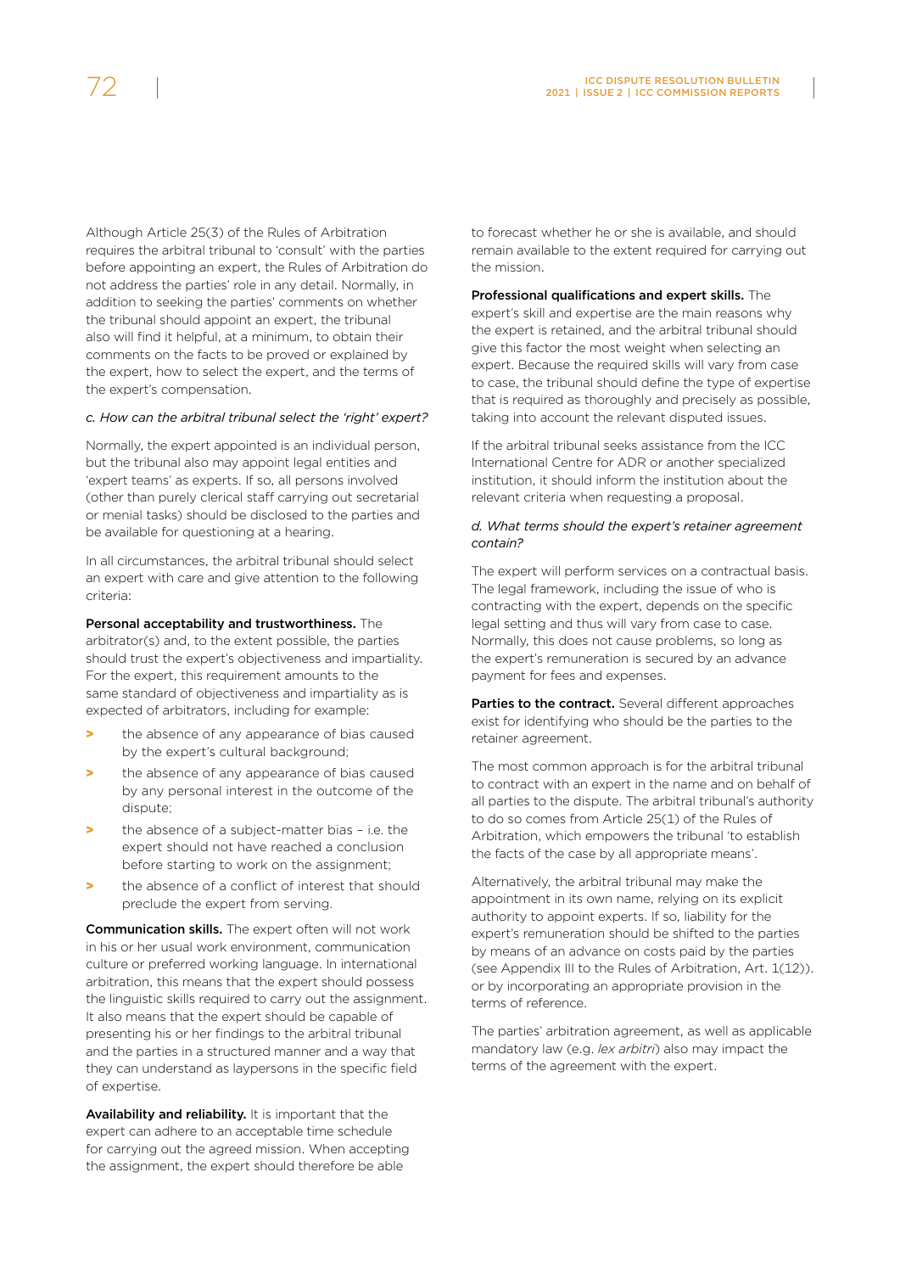Although Article 25(3) of the Rules of Arbitration requires the arbitral tribunal to 'consult' with the parties before appointing an expert, the Rules of Arbitration do not address the parties' role in any detail. Normally, in addition to seeking the parties' comments on whether the tribunal should appoint an expert, the tribunal also will find it helpful, at a minimum, to obtain their comments on the facts to be proved or explained by the expert, how to select the expert, and the terms of the expert's compensation.

#### *c. How can the arbitral tribunal select the 'right' expert?*

Normally, the expert appointed is an individual person, but the tribunal also may appoint legal entities and 'expert teams' as experts. If so, all persons involved (other than purely clerical staff carrying out secretarial or menial tasks) should be disclosed to the parties and be available for questioning at a hearing.

In all circumstances, the arbitral tribunal should select an expert with care and give attention to the following criteria:

Personal acceptability and trustworthiness. The arbitrator(s) and, to the extent possible, the parties should trust the expert's objectiveness and impartiality. For the expert, this requirement amounts to the same standard of objectiveness and impartiality as is expected of arbitrators, including for example:

- > the absence of any appearance of bias caused by the expert's cultural background;
- the absence of any appearance of bias caused by any personal interest in the outcome of the dispute;
- the absence of a subject-matter bias i.e. the expert should not have reached a conclusion before starting to work on the assignment;
- > the absence of a conflict of interest that should preclude the expert from serving.

Communication skills. The expert often will not work in his or her usual work environment, communication culture or preferred working language. In international arbitration, this means that the expert should possess the linguistic skills required to carry out the assignment. It also means that the expert should be capable of presenting his or her findings to the arbitral tribunal and the parties in a structured manner and a way that they can understand as laypersons in the specific field of expertise.

Availability and reliability. It is important that the expert can adhere to an acceptable time schedule for carrying out the agreed mission. When accepting the assignment, the expert should therefore be able

to forecast whether he or she is available, and should remain available to the extent required for carrying out the mission.

#### Professional qualifications and expert skills. The

expert's skill and expertise are the main reasons why the expert is retained, and the arbitral tribunal should give this factor the most weight when selecting an expert. Because the required skills will vary from case to case, the tribunal should define the type of expertise that is required as thoroughly and precisely as possible, taking into account the relevant disputed issues.

If the arbitral tribunal seeks assistance from the ICC International Centre for ADR or another specialized institution, it should inform the institution about the relevant criteria when requesting a proposal.

#### *d. What terms should the expert's retainer agreement contain?*

The expert will perform services on a contractual basis. The legal framework, including the issue of who is contracting with the expert, depends on the specific legal setting and thus will vary from case to case. Normally, this does not cause problems, so long as the expert's remuneration is secured by an advance payment for fees and expenses.

Parties to the contract. Several different approaches exist for identifying who should be the parties to the retainer agreement.

The most common approach is for the arbitral tribunal to contract with an expert in the name and on behalf of all parties to the dispute. The arbitral tribunal's authority to do so comes from Article 25(1) of the Rules of Arbitration, which empowers the tribunal 'to establish the facts of the case by all appropriate means'.

Alternatively, the arbitral tribunal may make the appointment in its own name, relying on its explicit authority to appoint experts. If so, liability for the expert's remuneration should be shifted to the parties by means of an advance on costs paid by the parties (see Appendix III to the Rules of Arbitration, Art. 1(12)). or by incorporating an appropriate provision in the terms of reference.

The parties' arbitration agreement, as well as applicable mandatory law (e.g. *lex arbitri*) also may impact the terms of the agreement with the expert.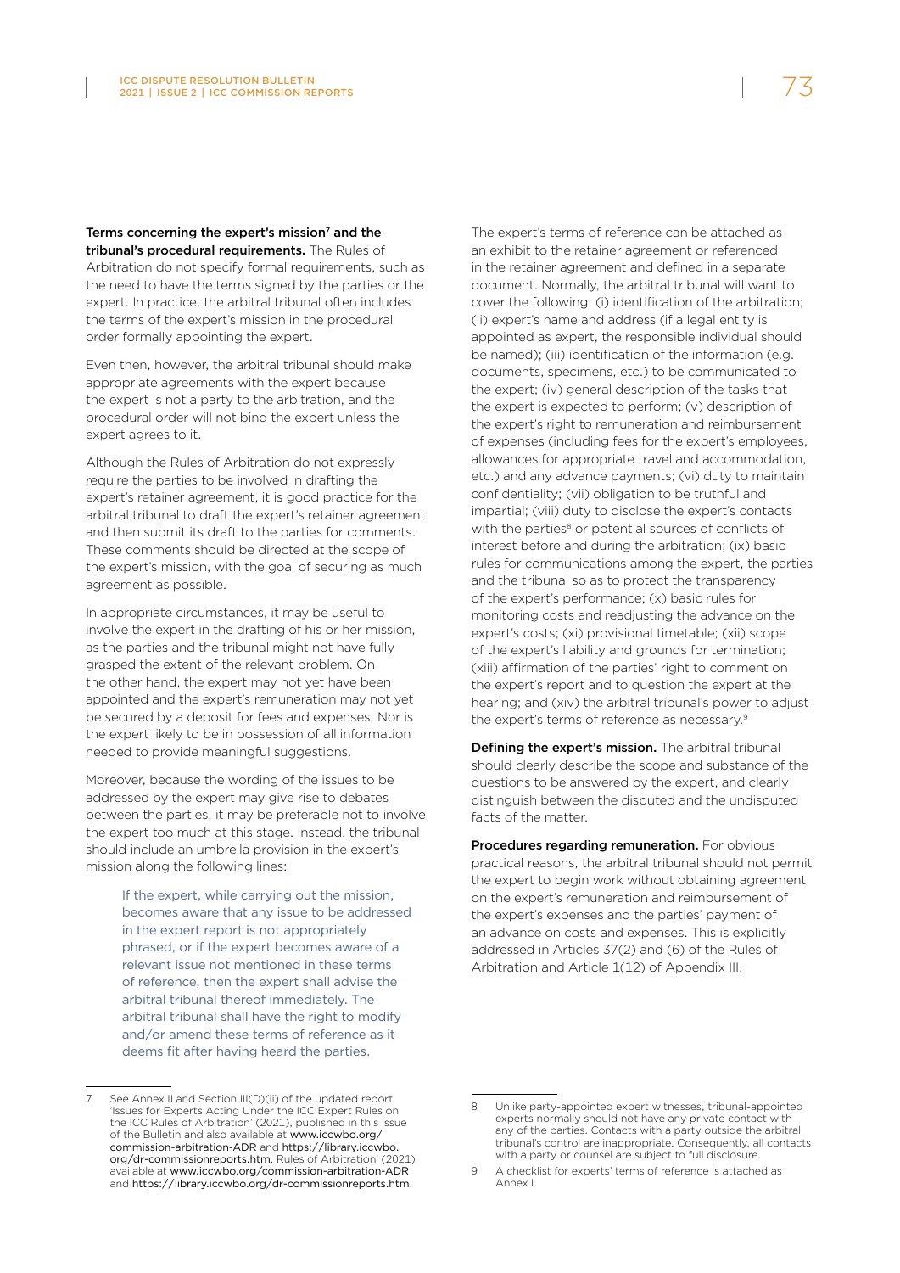Terms concerning the expert's mission<sup>7</sup> and the tribunal's procedural requirements. The Rules of Arbitration do not specify formal requirements, such as the need to have the terms signed by the parties or the expert. In practice, the arbitral tribunal often includes the terms of the expert's mission in the procedural order formally appointing the expert.

Even then, however, the arbitral tribunal should make appropriate agreements with the expert because the expert is not a party to the arbitration, and the procedural order will not bind the expert unless the expert agrees to it.

Although the Rules of Arbitration do not expressly require the parties to be involved in drafting the expert's retainer agreement, it is good practice for the arbitral tribunal to draft the expert's retainer agreement and then submit its draft to the parties for comments. These comments should be directed at the scope of the expert's mission, with the goal of securing as much agreement as possible.

In appropriate circumstances, it may be useful to involve the expert in the drafting of his or her mission, as the parties and the tribunal might not have fully grasped the extent of the relevant problem. On the other hand, the expert may not yet have been appointed and the expert's remuneration may not yet be secured by a deposit for fees and expenses. Nor is the expert likely to be in possession of all information needed to provide meaningful suggestions.

Moreover, because the wording of the issues to be addressed by the expert may give rise to debates between the parties, it may be preferable not to involve the expert too much at this stage. Instead, the tribunal should include an umbrella provision in the expert's mission along the following lines:

> If the expert, while carrying out the mission, becomes aware that any issue to be addressed in the expert report is not appropriately phrased, or if the expert becomes aware of a relevant issue not mentioned in these terms of reference, then the expert shall advise the arbitral tribunal thereof immediately. The arbitral tribunal shall have the right to modify and/or amend these terms of reference as it deems fit after having heard the parties.

See Annex II and Section III(D)(ii) of the updated report 'Issues for Experts Acting Under the ICC Expert Rules on the ICC Rules of Arbitration' (2021), published in this issue of the Bulletin and also available at www.iccwbo.org/ commission-arbitration-ADR and https://library.iccwbo. org/dr-commissionreports.htm. Rules of Arbitration' (2021) available at [www.iccwbo.org/commission-arbitration-ADR](http://www.iccwbo.org/commission-arbitration-ADR) and <https://library.iccwbo.org/dr-commissionreports.htm>.

The expert's terms of reference can be attached as an exhibit to the retainer agreement or referenced in the retainer agreement and defined in a separate document. Normally, the arbitral tribunal will want to cover the following: (i) identification of the arbitration; (ii) expert's name and address (if a legal entity is appointed as expert, the responsible individual should be named); (iii) identification of the information (e.g. documents, specimens, etc.) to be communicated to the expert; (iv) general description of the tasks that the expert is expected to perform; (v) description of the expert's right to remuneration and reimbursement of expenses (including fees for the expert's employees, allowances for appropriate travel and accommodation, etc.) and any advance payments; (vi) duty to maintain confidentiality; (vii) obligation to be truthful and impartial; (viii) duty to disclose the expert's contacts with the parties<sup>8</sup> or potential sources of conflicts of interest before and during the arbitration; (ix) basic rules for communications among the expert, the parties and the tribunal so as to protect the transparency of the expert's performance; (x) basic rules for monitoring costs and readjusting the advance on the expert's costs; (xi) provisional timetable; (xii) scope of the expert's liability and grounds for termination; (xiii) affirmation of the parties' right to comment on the expert's report and to question the expert at the hearing; and (xiv) the arbitral tribunal's power to adjust the expert's terms of reference as necessary.9

Defining the expert's mission. The arbitral tribunal should clearly describe the scope and substance of the questions to be answered by the expert, and clearly distinguish between the disputed and the undisputed facts of the matter.

Procedures regarding remuneration. For obvious practical reasons, the arbitral tribunal should not permit the expert to begin work without obtaining agreement on the expert's remuneration and reimbursement of the expert's expenses and the parties' payment of an advance on costs and expenses. This is explicitly addressed in Articles 37(2) and (6) of the Rules of Arbitration and Article 1(12) of Appendix III.

<sup>8</sup> Unlike party-appointed expert witnesses, tribunal-appointed experts normally should not have any private contact with any of the parties. Contacts with a party outside the arbitral tribunal's control are inappropriate. Consequently, all contacts with a party or counsel are subject to full disclosure.

<sup>9</sup> A checklist for experts' terms of reference is attached as Annex I.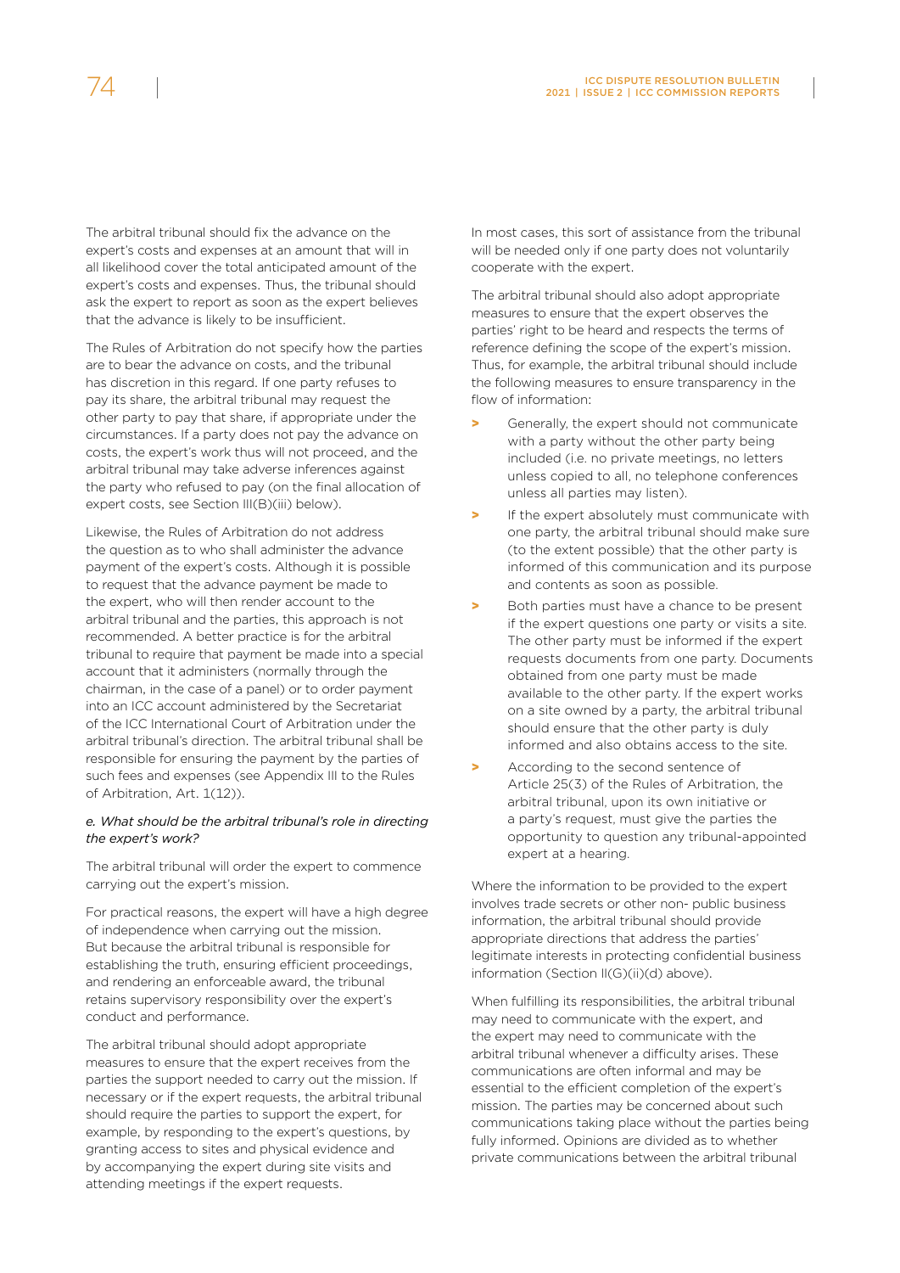The arbitral tribunal should fix the advance on the expert's costs and expenses at an amount that will in all likelihood cover the total anticipated amount of the expert's costs and expenses. Thus, the tribunal should ask the expert to report as soon as the expert believes that the advance is likely to be insufficient.

The Rules of Arbitration do not specify how the parties are to bear the advance on costs, and the tribunal has discretion in this regard. If one party refuses to pay its share, the arbitral tribunal may request the other party to pay that share, if appropriate under the circumstances. If a party does not pay the advance on costs, the expert's work thus will not proceed, and the arbitral tribunal may take adverse inferences against the party who refused to pay (on the final allocation of expert costs, see Section III(B)(iii) below).

Likewise, the Rules of Arbitration do not address the question as to who shall administer the advance payment of the expert's costs. Although it is possible to request that the advance payment be made to the expert, who will then render account to the arbitral tribunal and the parties, this approach is not recommended. A better practice is for the arbitral tribunal to require that payment be made into a special account that it administers (normally through the chairman, in the case of a panel) or to order payment into an ICC account administered by the Secretariat of the ICC International Court of Arbitration under the arbitral tribunal's direction. The arbitral tribunal shall be responsible for ensuring the payment by the parties of such fees and expenses (see Appendix III to the Rules of Arbitration, Art. 1(12)).

#### *e. What should be the arbitral tribunal's role in directing the expert's work?*

The arbitral tribunal will order the expert to commence carrying out the expert's mission.

For practical reasons, the expert will have a high degree of independence when carrying out the mission. But because the arbitral tribunal is responsible for establishing the truth, ensuring efficient proceedings, and rendering an enforceable award, the tribunal retains supervisory responsibility over the expert's conduct and performance.

The arbitral tribunal should adopt appropriate measures to ensure that the expert receives from the parties the support needed to carry out the mission. If necessary or if the expert requests, the arbitral tribunal should require the parties to support the expert, for example, by responding to the expert's questions, by granting access to sites and physical evidence and by accompanying the expert during site visits and attending meetings if the expert requests.

In most cases, this sort of assistance from the tribunal will be needed only if one party does not voluntarily cooperate with the expert.

The arbitral tribunal should also adopt appropriate measures to ensure that the expert observes the parties' right to be heard and respects the terms of reference defining the scope of the expert's mission. Thus, for example, the arbitral tribunal should include the following measures to ensure transparency in the flow of information:

- Generally, the expert should not communicate with a party without the other party being included (i.e. no private meetings, no letters unless copied to all, no telephone conferences unless all parties may listen).
- If the expert absolutely must communicate with one party, the arbitral tribunal should make sure (to the extent possible) that the other party is informed of this communication and its purpose and contents as soon as possible.
- Both parties must have a chance to be present if the expert questions one party or visits a site. The other party must be informed if the expert requests documents from one party. Documents obtained from one party must be made available to the other party. If the expert works on a site owned by a party, the arbitral tribunal should ensure that the other party is duly informed and also obtains access to the site.
- According to the second sentence of Article 25(3) of the Rules of Arbitration, the arbitral tribunal, upon its own initiative or a party's request, must give the parties the opportunity to question any tribunal-appointed expert at a hearing.

Where the information to be provided to the expert involves trade secrets or other non- public business information, the arbitral tribunal should provide appropriate directions that address the parties' legitimate interests in protecting confidential business information (Section II(G)(ii)(d) above).

When fulfilling its responsibilities, the arbitral tribunal may need to communicate with the expert, and the expert may need to communicate with the arbitral tribunal whenever a difficulty arises. These communications are often informal and may be essential to the efficient completion of the expert's mission. The parties may be concerned about such communications taking place without the parties being fully informed. Opinions are divided as to whether private communications between the arbitral tribunal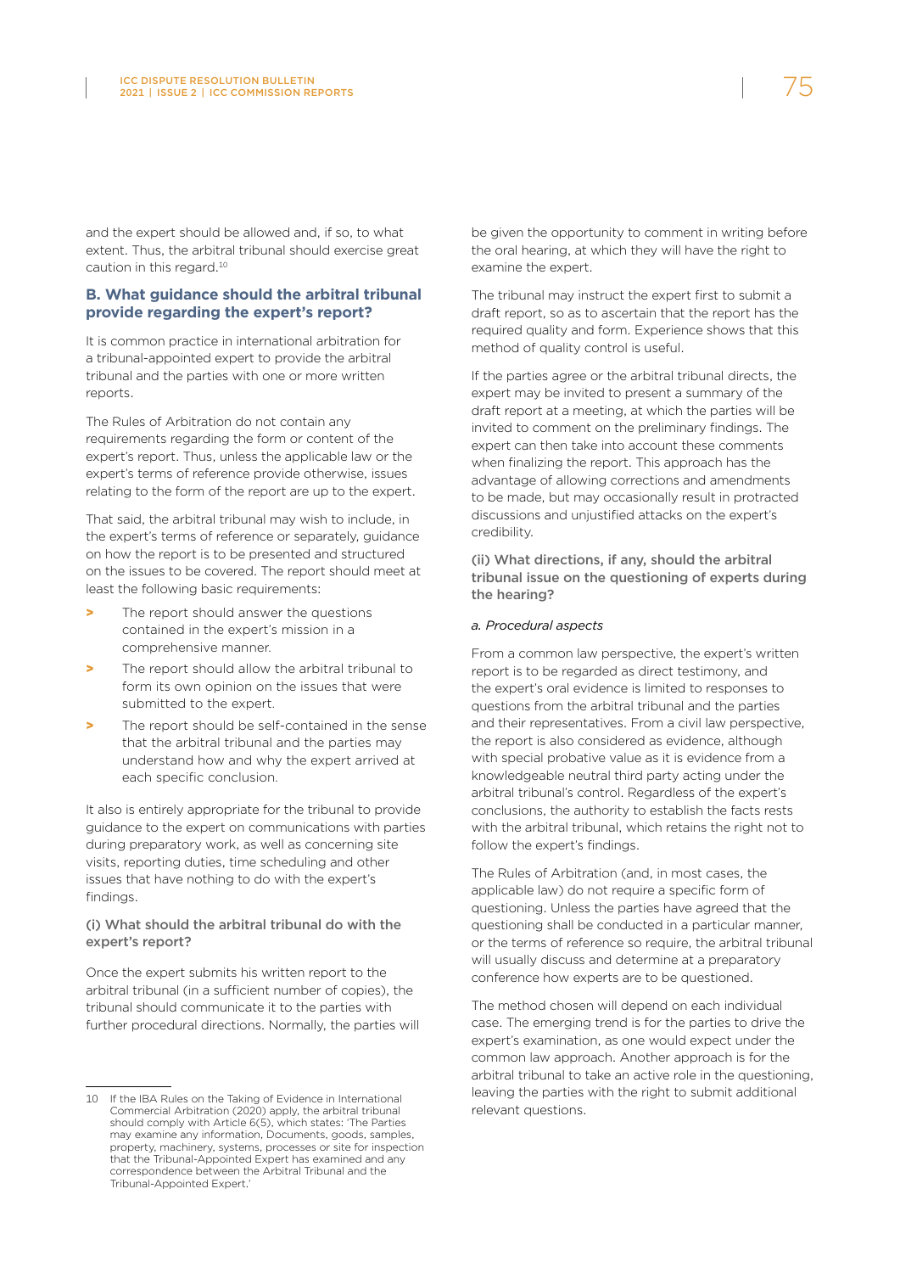and the expert should be allowed and, if so, to what extent. Thus, the arbitral tribunal should exercise great caution in this regard.10

#### **B. What guidance should the arbitral tribunal provide regarding the expert's report?**

It is common practice in international arbitration for a tribunal-appointed expert to provide the arbitral tribunal and the parties with one or more written reports.

The Rules of Arbitration do not contain any requirements regarding the form or content of the expert's report. Thus, unless the applicable law or the expert's terms of reference provide otherwise, issues relating to the form of the report are up to the expert.

That said, the arbitral tribunal may wish to include, in the expert's terms of reference or separately, guidance on how the report is to be presented and structured on the issues to be covered. The report should meet at least the following basic requirements:

- The report should answer the questions contained in the expert's mission in a comprehensive manner.
- > The report should allow the arbitral tribunal to form its own opinion on the issues that were submitted to the expert.
- The report should be self-contained in the sense that the arbitral tribunal and the parties may understand how and why the expert arrived at each specific conclusion.

It also is entirely appropriate for the tribunal to provide guidance to the expert on communications with parties during preparatory work, as well as concerning site visits, reporting duties, time scheduling and other issues that have nothing to do with the expert's findings.

#### (i) What should the arbitral tribunal do with the expert's report?

Once the expert submits his written report to the arbitral tribunal (in a sufficient number of copies), the tribunal should communicate it to the parties with further procedural directions. Normally, the parties will be given the opportunity to comment in writing before the oral hearing, at which they will have the right to examine the expert.

The tribunal may instruct the expert first to submit a draft report, so as to ascertain that the report has the required quality and form. Experience shows that this method of quality control is useful.

If the parties agree or the arbitral tribunal directs, the expert may be invited to present a summary of the draft report at a meeting, at which the parties will be invited to comment on the preliminary findings. The expert can then take into account these comments when finalizing the report. This approach has the advantage of allowing corrections and amendments to be made, but may occasionally result in protracted discussions and unjustified attacks on the expert's credibility.

(ii) What directions, if any, should the arbitral tribunal issue on the questioning of experts during the hearing?

#### *a. Procedural aspects*

From a common law perspective, the expert's written report is to be regarded as direct testimony, and the expert's oral evidence is limited to responses to questions from the arbitral tribunal and the parties and their representatives. From a civil law perspective, the report is also considered as evidence, although with special probative value as it is evidence from a knowledgeable neutral third party acting under the arbitral tribunal's control. Regardless of the expert's conclusions, the authority to establish the facts rests with the arbitral tribunal, which retains the right not to follow the expert's findings.

The Rules of Arbitration (and, in most cases, the applicable law) do not require a specific form of questioning. Unless the parties have agreed that the questioning shall be conducted in a particular manner, or the terms of reference so require, the arbitral tribunal will usually discuss and determine at a preparatory conference how experts are to be questioned.

The method chosen will depend on each individual case. The emerging trend is for the parties to drive the expert's examination, as one would expect under the common law approach. Another approach is for the arbitral tribunal to take an active role in the questioning, leaving the parties with the right to submit additional relevant questions.

<sup>10</sup> If the IBA Rules on the Taking of Evidence in International Commercial Arbitration (2020) apply, the arbitral tribunal should comply with Article 6(5), which states: 'The Parties may examine any information, Documents, goods, samples, property, machinery, systems, processes or site for inspection that the Tribunal-Appointed Expert has examined and any correspondence between the Arbitral Tribunal and the Tribunal-Appointed Expert.'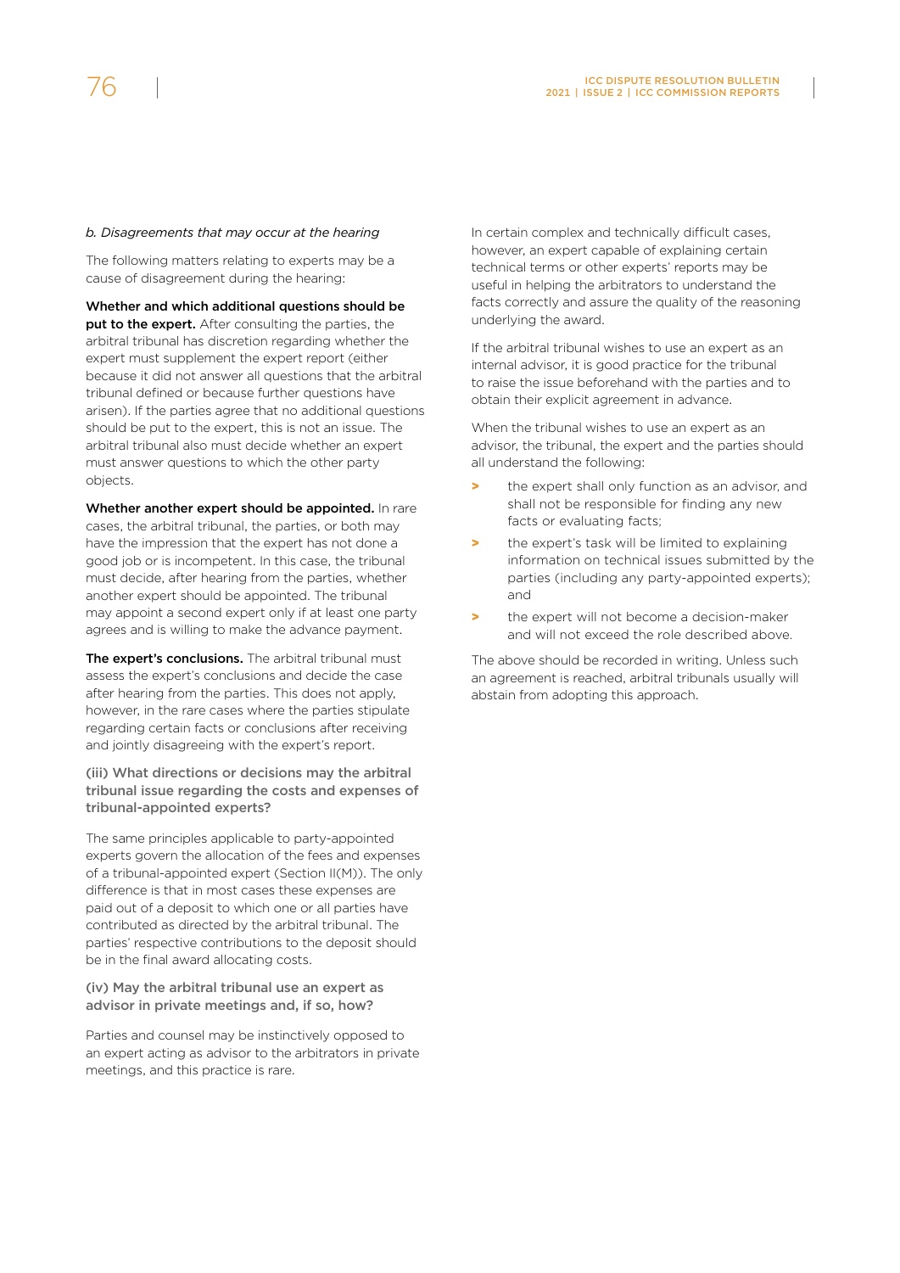#### *b. Disagreements that may occur at the hearing*

The following matters relating to experts may be a cause of disagreement during the hearing:

Whether and which additional questions should be put to the expert. After consulting the parties, the arbitral tribunal has discretion regarding whether the expert must supplement the expert report (either because it did not answer all questions that the arbitral tribunal defined or because further questions have arisen). If the parties agree that no additional questions should be put to the expert, this is not an issue. The arbitral tribunal also must decide whether an expert must answer questions to which the other party objects.

Whether another expert should be appointed. In rare cases, the arbitral tribunal, the parties, or both may have the impression that the expert has not done a good job or is incompetent. In this case, the tribunal must decide, after hearing from the parties, whether another expert should be appointed. The tribunal may appoint a second expert only if at least one party agrees and is willing to make the advance payment.

The expert's conclusions. The arbitral tribunal must assess the expert's conclusions and decide the case after hearing from the parties. This does not apply, however, in the rare cases where the parties stipulate regarding certain facts or conclusions after receiving and jointly disagreeing with the expert's report.

(iii) What directions or decisions may the arbitral tribunal issue regarding the costs and expenses of tribunal-appointed experts?

The same principles applicable to party-appointed experts govern the allocation of the fees and expenses of a tribunal-appointed expert (Section II(M)). The only difference is that in most cases these expenses are paid out of a deposit to which one or all parties have contributed as directed by the arbitral tribunal. The parties' respective contributions to the deposit should be in the final award allocating costs.

(iv) May the arbitral tribunal use an expert as advisor in private meetings and, if so, how?

Parties and counsel may be instinctively opposed to an expert acting as advisor to the arbitrators in private meetings, and this practice is rare.

In certain complex and technically difficult cases, however, an expert capable of explaining certain technical terms or other experts' reports may be useful in helping the arbitrators to understand the facts correctly and assure the quality of the reasoning underlying the award.

If the arbitral tribunal wishes to use an expert as an internal advisor, it is good practice for the tribunal to raise the issue beforehand with the parties and to obtain their explicit agreement in advance.

When the tribunal wishes to use an expert as an advisor, the tribunal, the expert and the parties should all understand the following:

- > the expert shall only function as an advisor, and shall not be responsible for finding any new facts or evaluating facts;
- the expert's task will be limited to explaining information on technical issues submitted by the parties (including any party-appointed experts); and
- the expert will not become a decision-maker and will not exceed the role described above.

The above should be recorded in writing. Unless such an agreement is reached, arbitral tribunals usually will abstain from adopting this approach.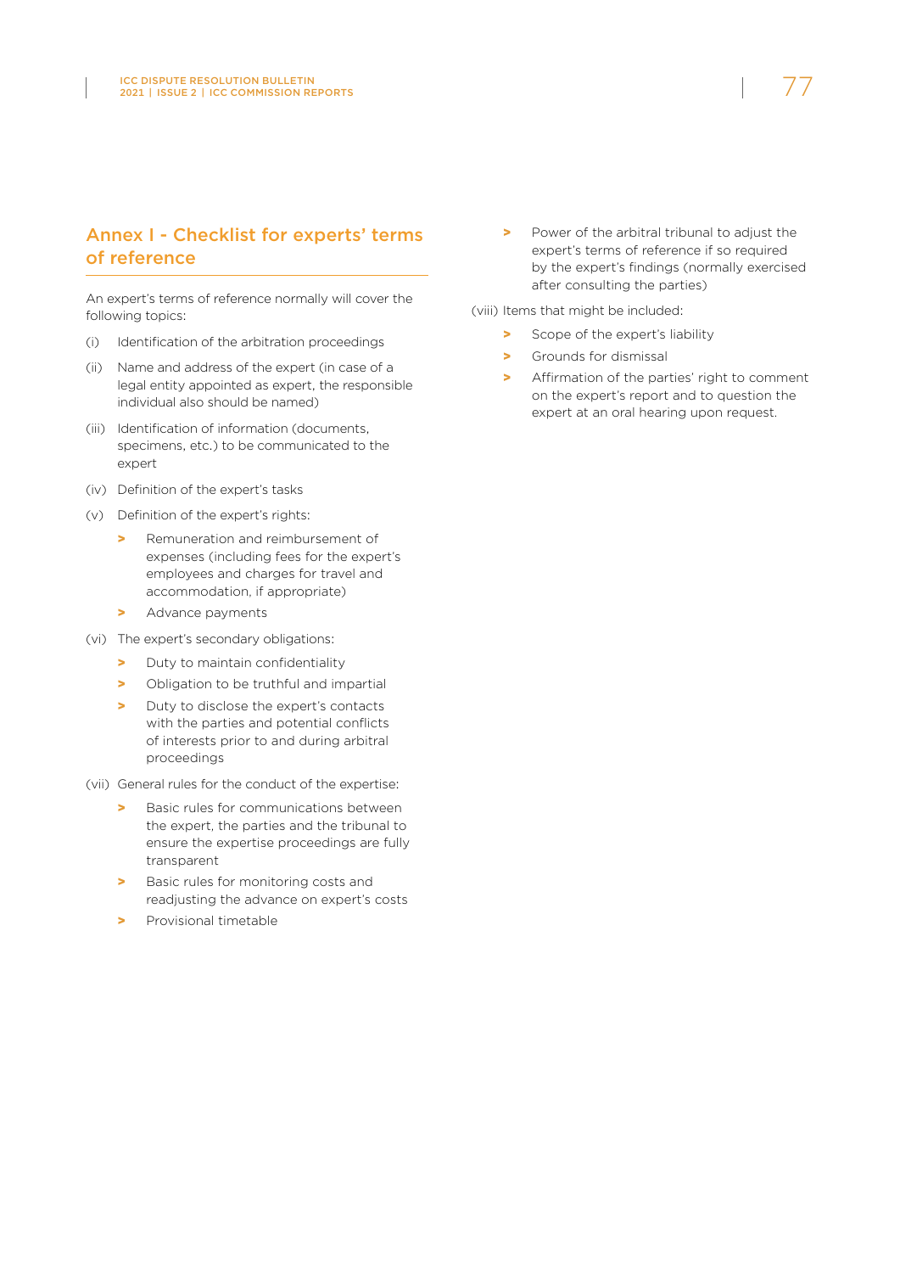# Annex I - Checklist for experts' terms of reference

An expert's terms of reference normally will cover the following topics:

- (i) Identification of the arbitration proceedings
- (ii) Name and address of the expert (in case of a legal entity appointed as expert, the responsible individual also should be named)
- (iii) Identification of information (documents, specimens, etc.) to be communicated to the expert
- (iv) Definition of the expert's tasks
- (v) Definition of the expert's rights:
	- > Remuneration and reimbursement of expenses (including fees for the expert's employees and charges for travel and accommodation, if appropriate)
	- > Advance payments
- (vi) The expert's secondary obligations:
	- > Duty to maintain confidentiality
	- > Obligation to be truthful and impartial
	- > Duty to disclose the expert's contacts with the parties and potential conflicts of interests prior to and during arbitral proceedings
- (vii) General rules for the conduct of the expertise:
	- > Basic rules for communications between the expert, the parties and the tribunal to ensure the expertise proceedings are fully transparent
	- > Basic rules for monitoring costs and readjusting the advance on expert's costs
	- Provisional timetable

> Power of the arbitral tribunal to adjust the expert's terms of reference if so required by the expert's findings (normally exercised after consulting the parties)

(viii) Items that might be included:

- > Scope of the expert's liability
- > Grounds for dismissal
- > Affirmation of the parties' right to comment on the expert's report and to question the expert at an oral hearing upon request.